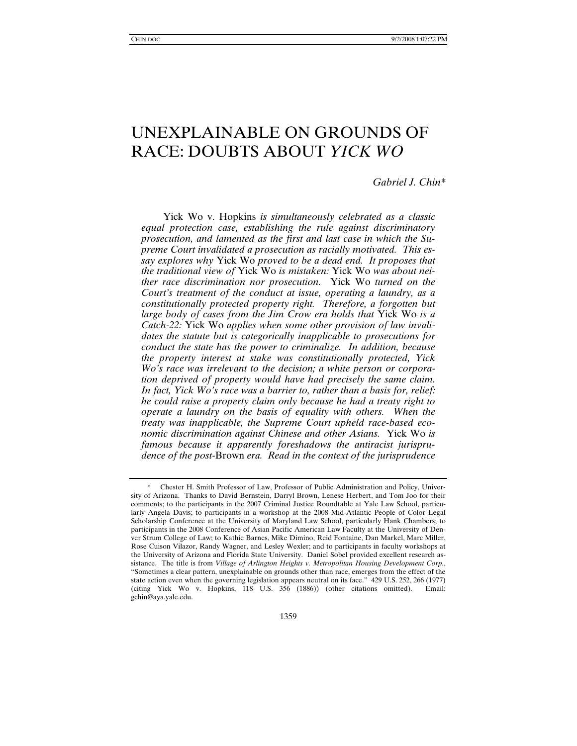# UNEXPLAINABLE ON GROUNDS OF RACE: DOUBTS ABOUT *YICK WO*

*Gabriel J. Chin\** 

Yick Wo v. Hopkins *is simultaneously celebrated as a classic equal protection case, establishing the rule against discriminatory prosecution, and lamented as the first and last case in which the Supreme Court invalidated a prosecution as racially motivated. This essay explores why* Yick Wo *proved to be a dead end. It proposes that the traditional view of* Yick Wo *is mistaken:* Yick Wo *was about neither race discrimination nor prosecution.* Yick Wo *turned on the Court's treatment of the conduct at issue, operating a laundry, as a constitutionally protected property right. Therefore, a forgotten but large body of cases from the Jim Crow era holds that* Yick Wo *is a Catch-22:* Yick Wo *applies when some other provision of law invalidates the statute but is categorically inapplicable to prosecutions for conduct the state has the power to criminalize. In addition, because the property interest at stake was constitutionally protected, Yick Wo's race was irrelevant to the decision; a white person or corporation deprived of property would have had precisely the same claim. In fact, Yick Wo's race was a barrier to, rather than a basis for, relief: he could raise a property claim only because he had a treaty right to operate a laundry on the basis of equality with others. When the treaty was inapplicable, the Supreme Court upheld race-based economic discrimination against Chinese and other Asians.* Yick Wo *is famous because it apparently foreshadows the antiracist jurisprudence of the post-*Brown *era. Read in the context of the jurisprudence* 

 <sup>\*</sup> Chester H. Smith Professor of Law, Professor of Public Administration and Policy, University of Arizona. Thanks to David Bernstein, Darryl Brown, Lenese Herbert, and Tom Joo for their comments; to the participants in the 2007 Criminal Justice Roundtable at Yale Law School, particularly Angela Davis; to participants in a workshop at the 2008 Mid-Atlantic People of Color Legal Scholarship Conference at the University of Maryland Law School, particularly Hank Chambers; to participants in the 2008 Conference of Asian Pacific American Law Faculty at the University of Denver Strum College of Law; to Kathie Barnes, Mike Dimino, Reid Fontaine, Dan Markel, Marc Miller, Rose Cuison Vilazor, Randy Wagner, and Lesley Wexler; and to participants in faculty workshops at the University of Arizona and Florida State University. Daniel Sobel provided excellent research assistance. The title is from *Village of Arlington Heights v. Metropolitan Housing Development Corp.*, "Sometimes a clear pattern, unexplainable on grounds other than race, emerges from the effect of the state action even when the governing legislation appears neutral on its face." 429 U.S. 252, 266 (1977) (citing Yick Wo v. Hopkins, 118 U.S. 356 (1886)) (other citations omitted). Email: gchin@aya.yale.edu.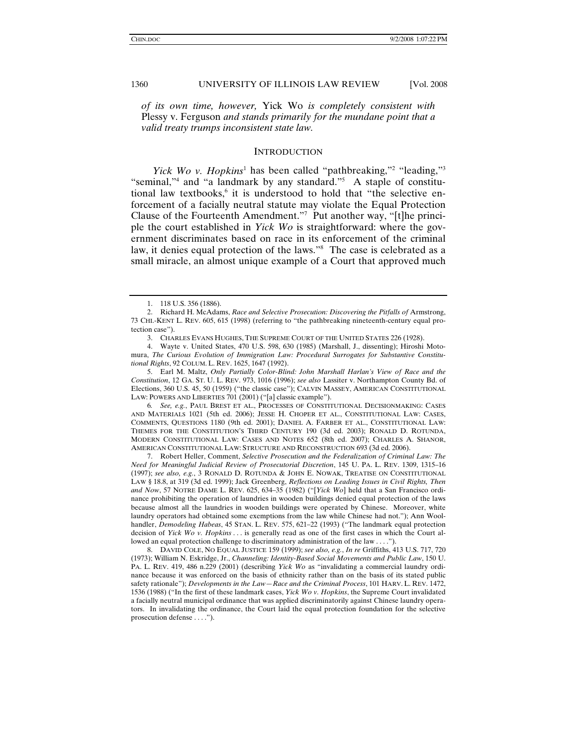*of its own time, however,* Yick Wo *is completely consistent with*  Plessy v. Ferguson *and stands primarily for the mundane point that a valid treaty trumps inconsistent state law.* 

#### **INTRODUCTION**

*Yick Wo v. Hopkins*<sup>1</sup> has been called "pathbreaking,"<sup>2</sup> "leading,"<sup>3</sup> "seminal,"<sup>4</sup> and "a landmark by any standard."<sup>5</sup> A staple of constitutional law textbooks,<sup>6</sup> it is understood to hold that "the selective enforcement of a facially neutral statute may violate the Equal Protection Clause of the Fourteenth Amendment."7 Put another way, "[t]he principle the court established in *Yick Wo* is straightforward: where the government discriminates based on race in its enforcement of the criminal law, it denies equal protection of the laws."8 The case is celebrated as a small miracle, an almost unique example of a Court that approved much

 5. Earl M. Maltz, *Only Partially Color-Blind: John Marshall Harlan's View of Race and the Constitution*, 12 GA. ST. U. L. REV. 973, 1016 (1996); *see also* Lassiter v. Northampton County Bd. of Elections, 360 U.S. 45, 50 (1959) ("the classic case"); CALVIN MASSEY, AMERICAN CONSTITUTIONAL LAW: POWERS AND LIBERTIES 701 (2001) ("[a] classic example").

6*. See, e.g.*, PAUL BREST ET AL., PROCESSES OF CONSTITUTIONAL DECISIONMAKING: CASES AND MATERIALS 1021 (5th ed. 2006); JESSE H. CHOPER ET AL., CONSTITUTIONAL LAW: CASES, COMMENTS, QUESTIONS 1180 (9th ed. 2001); DANIEL A. FARBER ET AL., CONSTITUTIONAL LAW: THEMES FOR THE CONSTITUTION'S THIRD CENTURY 190 (3d ed. 2003); RONALD D. ROTUNDA, MODERN CONSTITUTIONAL LAW: CASES AND NOTES 652 (8th ed. 2007); CHARLES A. SHANOR, AMERICAN CONSTITUTIONAL LAW: STRUCTURE AND RECONSTRUCTION 693 (3d ed. 2006).

 7. Robert Heller, Comment, *Selective Prosecution and the Federalization of Criminal Law: The Need for Meaningful Judicial Review of Prosecutorial Discretion*, 145 U. PA. L. REV. 1309, 1315–16 (1997); *see also, e.g.*, 3 RONALD D. ROTUNDA & JOHN E. NOWAK, TREATISE ON CONSTITUTIONAL LAW § 18.8, at 319 (3d ed. 1999); Jack Greenberg, *Reflections on Leading Issues in Civil Rights, Then and Now*, 57 NOTRE DAME L. REV. 625, 634–35 (1982) ("[*Yick Wo*] held that a San Francisco ordinance prohibiting the operation of laundries in wooden buildings denied equal protection of the laws because almost all the laundries in wooden buildings were operated by Chinese. Moreover, white laundry operators had obtained some exemptions from the law while Chinese had not."); Ann Woolhandler, *Demodeling Habeas*, 45 STAN. L. REV. 575, 621–22 (1993) ("The landmark equal protection decision of *Yick Wo v. Hopkins* . . . is generally read as one of the first cases in which the Court allowed an equal protection challenge to discriminatory administration of the law . . . .").

 8. DAVID COLE, NO EQUAL JUSTICE 159 (1999); *see also, e.g.*, *In re* Griffiths, 413 U.S. 717, 720 (1973); William N. Eskridge, Jr., *Channeling: Identity-Based Social Movements and Public Law*, 150 U. PA. L. REV. 419, 486 n.229 (2001) (describing *Yick Wo* as "invalidating a commercial laundry ordinance because it was enforced on the basis of ethnicity rather than on the basis of its stated public safety rationale"); *Developments in the Law—Race and the Criminal Process*, 101 HARV. L. REV. 1472, 1536 (1988) ("In the first of these landmark cases, *Yick Wo v. Hopkins*, the Supreme Court invalidated a facially neutral municipal ordinance that was applied discriminatorily against Chinese laundry operators. In invalidating the ordinance, the Court laid the equal protection foundation for the selective prosecution defense . . . .").

 <sup>1. 118</sup> U.S. 356 (1886).

<sup>2.</sup> Richard H. McAdams, *Race and Selective Prosecution: Discovering the Pitfalls of Armstrong*, 73 CHI.-KENT L. REV. 605, 615 (1998) (referring to "the pathbreaking nineteenth-century equal protection case").

 <sup>3.</sup> CHARLES EVANS HUGHES, THE SUPREME COURT OF THE UNITED STATES 226 (1928).

 <sup>4.</sup> Wayte v. United States, 470 U.S. 598, 630 (1985) (Marshall, J., dissenting); Hiroshi Motomura, *The Curious Evolution of Immigration Law: Procedural Surrogates for Substantive Constitutional Rights*, 92 COLUM. L. REV. 1625, 1647 (1992).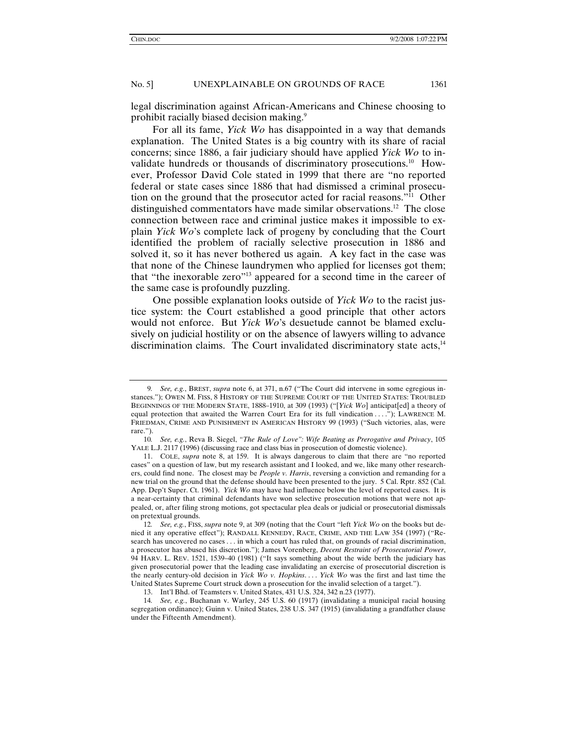legal discrimination against African-Americans and Chinese choosing to prohibit racially biased decision making.9

For all its fame, *Yick Wo* has disappointed in a way that demands explanation. The United States is a big country with its share of racial concerns; since 1886, a fair judiciary should have applied *Yick Wo* to invalidate hundreds or thousands of discriminatory prosecutions.<sup>10</sup> However, Professor David Cole stated in 1999 that there are "no reported federal or state cases since 1886 that had dismissed a criminal prosecution on the ground that the prosecutor acted for racial reasons."11 Other distinguished commentators have made similar observations.12 The close connection between race and criminal justice makes it impossible to explain *Yick Wo*'s complete lack of progeny by concluding that the Court identified the problem of racially selective prosecution in 1886 and solved it, so it has never bothered us again. A key fact in the case was that none of the Chinese laundrymen who applied for licenses got them; that "the inexorable zero"13 appeared for a second time in the career of the same case is profoundly puzzling.

One possible explanation looks outside of *Yick Wo* to the racist justice system: the Court established a good principle that other actors would not enforce. But *Yick Wo*'s desuetude cannot be blamed exclusively on judicial hostility or on the absence of lawyers willing to advance discrimination claims. The Court invalidated discriminatory state acts, $14$ 

<sup>9</sup>*. See, e.g.*, BREST, *supra* note 6, at 371, n.67 ("The Court did intervene in some egregious instances."); OWEN M. FISS, 8 HISTORY OF THE SUPREME COURT OF THE UNITED STATES: TROUBLED BEGINNINGS OF THE MODERN STATE, 1888–1910, at 309 (1993) ("[*Yick Wo*] anticipat[ed] a theory of equal protection that awaited the Warren Court Era for its full vindication . . . ."); LAWRENCE M. FRIEDMAN, CRIME AND PUNISHMENT IN AMERICAN HISTORY 99 (1993) ("Such victories, alas, were rare.").

<sup>10</sup>*. See, e.g.*, Reva B. Siegel, *"The Rule of Love": Wife Beating as Prerogative and Privacy*, 105 YALE L.J. 2117 (1996) (discussing race and class bias in prosecution of domestic violence).

 <sup>11.</sup> COLE, *supra* note 8, at 159.It is always dangerous to claim that there are "no reported cases" on a question of law, but my research assistant and I looked, and we, like many other researchers, could find none. The closest may be *People v. Harris*, reversing a conviction and remanding for a new trial on the ground that the defense should have been presented to the jury. 5 Cal. Rptr. 852 (Cal. App. Dep't Super. Ct. 1961). *Yick Wo* may have had influence below the level of reported cases. It is a near-certainty that criminal defendants have won selective prosecution motions that were not appealed, or, after filing strong motions, got spectacular plea deals or judicial or prosecutorial dismissals on pretextual grounds.

<sup>12</sup>*. See, e.g.*, FISS, *supra* note 9, at 309 (noting that the Court "left *Yick Wo* on the books but denied it any operative effect"); RANDALL KENNEDY, RACE, CRIME, AND THE LAW 354 (1997) ("Research has uncovered no cases . . . in which a court has ruled that, on grounds of racial discrimination, a prosecutor has abused his discretion."); James Vorenberg, *Decent Restraint of Prosecutorial Power*, 94 HARV. L. REV. 1521, 1539–40 (1981) ("It says something about the wide berth the judiciary has given prosecutorial power that the leading case invalidating an exercise of prosecutorial discretion is the nearly century-old decision in *Yick Wo v. Hopkins*. . . . *Yick Wo* was the first and last time the United States Supreme Court struck down a prosecution for the invalid selection of a target.").

 <sup>13.</sup> Int'l Bhd. of Teamsters v. United States, 431 U.S. 324, 342 n.23 (1977).

<sup>14</sup>*. See, e.g.*, Buchanan v. Warley, 245 U.S. 60 (1917) (invalidating a municipal racial housing segregation ordinance); Guinn v. United States, 238 U.S. 347 (1915) (invalidating a grandfather clause under the Fifteenth Amendment).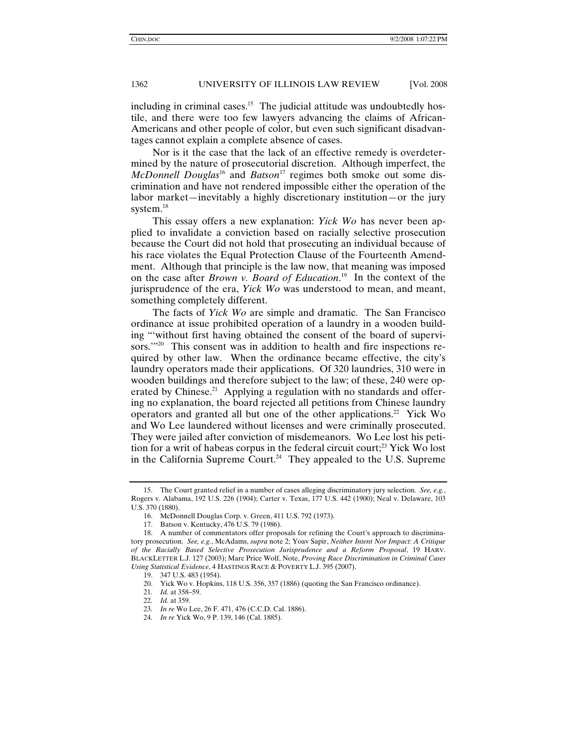including in criminal cases.<sup>15</sup> The judicial attitude was undoubtedly hostile, and there were too few lawyers advancing the claims of African-Americans and other people of color, but even such significant disadvantages cannot explain a complete absence of cases.

Nor is it the case that the lack of an effective remedy is overdetermined by the nature of prosecutorial discretion. Although imperfect, the *McDonnell Douglas*<sup>16</sup> and *Batson*<sup>17</sup> regimes both smoke out some discrimination and have not rendered impossible either the operation of the labor market—inevitably a highly discretionary institution—or the jury system. $^{18}$ 

This essay offers a new explanation: *Yick Wo* has never been applied to invalidate a conviction based on racially selective prosecution because the Court did not hold that prosecuting an individual because of his race violates the Equal Protection Clause of the Fourteenth Amendment. Although that principle is the law now, that meaning was imposed on the case after *Brown v. Board of Education*. 19 In the context of the jurisprudence of the era, *Yick Wo* was understood to mean, and meant, something completely different.

The facts of *Yick Wo* are simple and dramatic. The San Francisco ordinance at issue prohibited operation of a laundry in a wooden building "'without first having obtained the consent of the board of supervisors.'"<sup>20</sup> This consent was in addition to health and fire inspections required by other law. When the ordinance became effective, the city's laundry operators made their applications. Of 320 laundries, 310 were in wooden buildings and therefore subject to the law; of these, 240 were operated by Chinese.<sup>21</sup> Applying a regulation with no standards and offering no explanation, the board rejected all petitions from Chinese laundry operators and granted all but one of the other applications.22 Yick Wo and Wo Lee laundered without licenses and were criminally prosecuted. They were jailed after conviction of misdemeanors. Wo Lee lost his petition for a writ of habeas corpus in the federal circuit court;<sup>23</sup> Yick Wo lost in the California Supreme Court.<sup>24</sup> They appealed to the U.S. Supreme

 <sup>15.</sup> The Court granted relief in a number of cases alleging discriminatory jury selection. *See, e.g.*, Rogers v. Alabama, 192 U.S. 226 (1904); Carter v. Texas, 177 U.S. 442 (1900); Neal v. Delaware, 103 U.S. 370 (1880).

 <sup>16.</sup> McDonnell Douglas Corp. v. Green, 411 U.S. 792 (1973).

 <sup>17.</sup> Batson v. Kentucky, 476 U.S. 79 (1986).

 <sup>18.</sup> A number of commentators offer proposals for refining the Court's approach to discriminatory prosecution. *See, e.g.*, McAdams, *supra* note 2; Yoav Sapir, *Neither Intent Nor Impact: A Critique of the Racially Based Selective Prosecution Jurisprudence and a Reform Proposal*, 19 HARV. BLACKLETTER L.J. 127 (2003); Marc Price Wolf, Note, *Proving Race Discrimination in Criminal Cases Using Statistical Evidence*, 4 HASTINGS RACE & POVERTY L.J. 395 (2007).

 <sup>19. 347</sup> U.S. 483 (1954).

 <sup>20.</sup> Yick Wo v. Hopkins, 118 U.S. 356, 357 (1886) (quoting the San Francisco ordinance).

<sup>21</sup>*. Id.* at 358–59.

<sup>22</sup>*. Id.* at 359.

<sup>23</sup>*. In re* Wo Lee, 26 F. 471, 476 (C.C.D. Cal. 1886).

<sup>24</sup>*. In re* Yick Wo, 9 P. 139, 146 (Cal. 1885).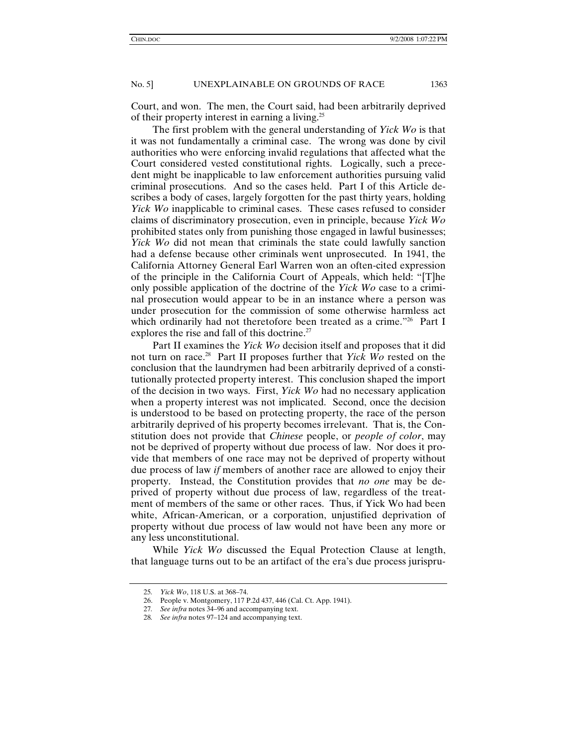Court, and won. The men, the Court said, had been arbitrarily deprived of their property interest in earning a living.<sup>25</sup>

The first problem with the general understanding of *Yick Wo* is that it was not fundamentally a criminal case. The wrong was done by civil authorities who were enforcing invalid regulations that affected what the Court considered vested constitutional rights. Logically, such a precedent might be inapplicable to law enforcement authorities pursuing valid criminal prosecutions. And so the cases held. Part I of this Article describes a body of cases, largely forgotten for the past thirty years, holding *Yick Wo* inapplicable to criminal cases. These cases refused to consider claims of discriminatory prosecution, even in principle, because *Yick Wo* prohibited states only from punishing those engaged in lawful businesses; *Yick Wo* did not mean that criminals the state could lawfully sanction had a defense because other criminals went unprosecuted. In 1941, the California Attorney General Earl Warren won an often-cited expression of the principle in the California Court of Appeals, which held: "[T]he only possible application of the doctrine of the *Yick Wo* case to a criminal prosecution would appear to be in an instance where a person was under prosecution for the commission of some otherwise harmless act which ordinarily had not theretofore been treated as a crime."<sup>26</sup> Part I explores the rise and fall of this doctrine.<sup>27</sup>

Part II examines the *Yick Wo* decision itself and proposes that it did not turn on race.28 Part II proposes further that *Yick Wo* rested on the conclusion that the laundrymen had been arbitrarily deprived of a constitutionally protected property interest. This conclusion shaped the import of the decision in two ways. First, *Yick Wo* had no necessary application when a property interest was not implicated. Second, once the decision is understood to be based on protecting property, the race of the person arbitrarily deprived of his property becomes irrelevant. That is, the Constitution does not provide that *Chinese* people, or *people of color*, may not be deprived of property without due process of law. Nor does it provide that members of one race may not be deprived of property without due process of law *if* members of another race are allowed to enjoy their property. Instead, the Constitution provides that *no one* may be deprived of property without due process of law, regardless of the treatment of members of the same or other races. Thus, if Yick Wo had been white, African-American, or a corporation, unjustified deprivation of property without due process of law would not have been any more or any less unconstitutional.

While *Yick Wo* discussed the Equal Protection Clause at length, that language turns out to be an artifact of the era's due process jurispru-

<sup>25</sup>*. Yick Wo*, 118 U.S. at 368–74.

 <sup>26.</sup> People v. Montgomery, 117 P.2d 437, 446 (Cal. Ct. App. 1941).

<sup>27</sup>*. See infra* notes 34–96 and accompanying text.

<sup>28</sup>*. See infra* notes 97–124 and accompanying text.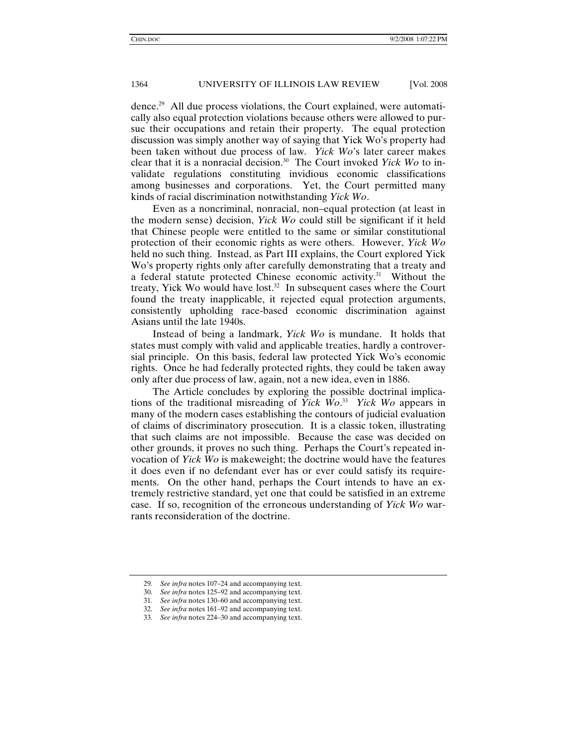dence.29 All due process violations, the Court explained, were automatically also equal protection violations because others were allowed to pursue their occupations and retain their property. The equal protection discussion was simply another way of saying that Yick Wo's property had been taken without due process of law. *Yick Wo*'s later career makes clear that it is a nonracial decision.30 The Court invoked *Yick Wo* to invalidate regulations constituting invidious economic classifications among businesses and corporations. Yet, the Court permitted many kinds of racial discrimination notwithstanding *Yick Wo*.

Even as a noncriminal, nonracial, non–equal protection (at least in the modern sense) decision, *Yick Wo* could still be significant if it held that Chinese people were entitled to the same or similar constitutional protection of their economic rights as were others. However, *Yick Wo* held no such thing. Instead, as Part III explains, the Court explored Yick Wo's property rights only after carefully demonstrating that a treaty and a federal statute protected Chinese economic activity. $31$  Without the treaty, Yick Wo would have lost.<sup>32</sup> In subsequent cases where the Court found the treaty inapplicable, it rejected equal protection arguments, consistently upholding race-based economic discrimination against Asians until the late 1940s.

Instead of being a landmark, *Yick Wo* is mundane. It holds that states must comply with valid and applicable treaties, hardly a controversial principle. On this basis, federal law protected Yick Wo's economic rights. Once he had federally protected rights, they could be taken away only after due process of law, again, not a new idea, even in 1886.

The Article concludes by exploring the possible doctrinal implications of the traditional misreading of *Yick Wo*. 33 *Yick Wo* appears in many of the modern cases establishing the contours of judicial evaluation of claims of discriminatory prosecution. It is a classic token, illustrating that such claims are not impossible. Because the case was decided on other grounds, it proves no such thing. Perhaps the Court's repeated invocation of *Yick Wo* is makeweight; the doctrine would have the features it does even if no defendant ever has or ever could satisfy its requirements. On the other hand, perhaps the Court intends to have an extremely restrictive standard, yet one that could be satisfied in an extreme case. If so, recognition of the erroneous understanding of *Yick Wo* warrants reconsideration of the doctrine.

<sup>29</sup>*. See infra* notes 107–24 and accompanying text.

<sup>30</sup>*. See infra* notes 125–92 and accompanying text.

<sup>31</sup>*. See infra* notes 130–60 and accompanying text.

<sup>32</sup>*. See infra* notes 161–92 and accompanying text.

<sup>33</sup>*. See infra* notes 224–30 and accompanying text.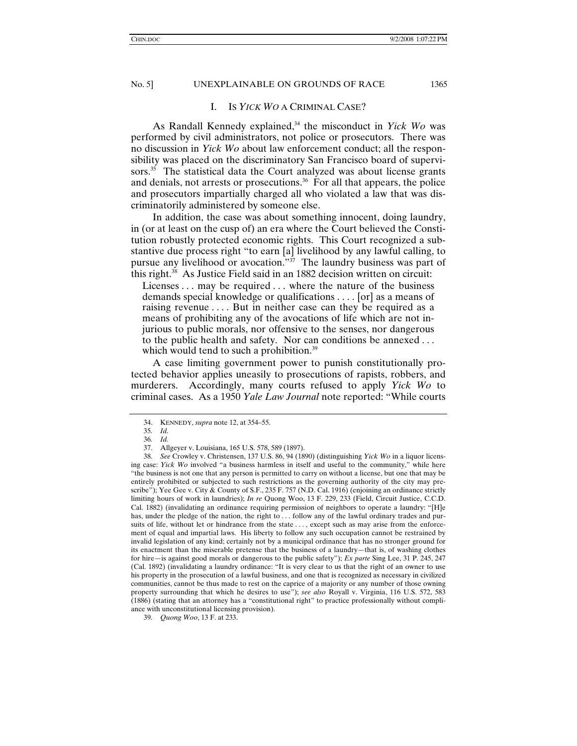I. IS *YICK WO* A CRIMINAL CASE?

As Randall Kennedy explained,<sup>34</sup> the misconduct in *Yick Wo* was performed by civil administrators, not police or prosecutors. There was no discussion in *Yick Wo* about law enforcement conduct; all the responsibility was placed on the discriminatory San Francisco board of supervisors.<sup>35</sup> The statistical data the Court analyzed was about license grants and denials, not arrests or prosecutions.<sup>36</sup> For all that appears, the police and prosecutors impartially charged all who violated a law that was discriminatorily administered by someone else.

In addition, the case was about something innocent, doing laundry, in (or at least on the cusp of) an era where the Court believed the Constitution robustly protected economic rights. This Court recognized a substantive due process right "to earn [a] livelihood by any lawful calling, to pursue any livelihood or avocation."<sup>37</sup> The laundry business was part of this right.38 As Justice Field said in an 1882 decision written on circuit:

Licenses . . . may be required . . . where the nature of the business demands special knowledge or qualifications . . . . [or] as a means of raising revenue .... But in neither case can they be required as a means of prohibiting any of the avocations of life which are not injurious to public morals, nor offensive to the senses, nor dangerous to the public health and safety. Nor can conditions be annexed . . . which would tend to such a prohibition.<sup>39</sup>

A case limiting government power to punish constitutionally protected behavior applies uneasily to prosecutions of rapists, robbers, and murderers. Accordingly, many courts refused to apply *Yick Wo* to criminal cases. As a 1950 *Yale Law Journal* note reported: "While courts

 <sup>34.</sup> KENNEDY, *supra* note 12, at 354–55.

<sup>35</sup>*. Id.*

<sup>36</sup>*. Id.*

 <sup>37.</sup> Allgeyer v. Louisiana, 165 U.S. 578, 589 (1897).

<sup>38</sup>*. See* Crowley v. Christensen, 137 U.S. 86, 94 (1890) (distinguishing *Yick Wo* in a liquor licensing case: *Yick Wo* involved "a business harmless in itself and useful to the community," while here "the business is not one that any person is permitted to carry on without a license, but one that may be entirely prohibited or subjected to such restrictions as the governing authority of the city may prescribe"); Yee Gee v. City & County of S.F., 235 F. 757 (N.D. Cal. 1916) (enjoining an ordinance strictly limiting hours of work in laundries); *In re* Quong Woo, 13 F. 229, 233 (Field, Circuit Justice, C.C.D. Cal. 1882) (invalidating an ordinance requiring permission of neighbors to operate a laundry: "[H]e has, under the pledge of the nation, the right to . . . follow any of the lawful ordinary trades and pursuits of life, without let or hindrance from the state ..., except such as may arise from the enforcement of equal and impartial laws. His liberty to follow any such occupation cannot be restrained by invalid legislation of any kind; certainly not by a municipal ordinance that has no stronger ground for its enactment than the miserable pretense that the business of a laundry—that is, of washing clothes for hire—is against good morals or dangerous to the public safety"); *Ex parte* Sing Lee, 31 P. 245, 247 (Cal. 1892) (invalidating a laundry ordinance: "It is very clear to us that the right of an owner to use his property in the prosecution of a lawful business, and one that is recognized as necessary in civilized communities, cannot be thus made to rest on the caprice of a majority or any number of those owning property surrounding that which he desires to use"); *see also* Royall v. Virginia, 116 U.S. 572, 583 (1886) (stating that an attorney has a "constitutional right" to practice professionally without compliance with unconstitutional licensing provision).

<sup>39</sup>*. Quong Woo*, 13 F. at 233.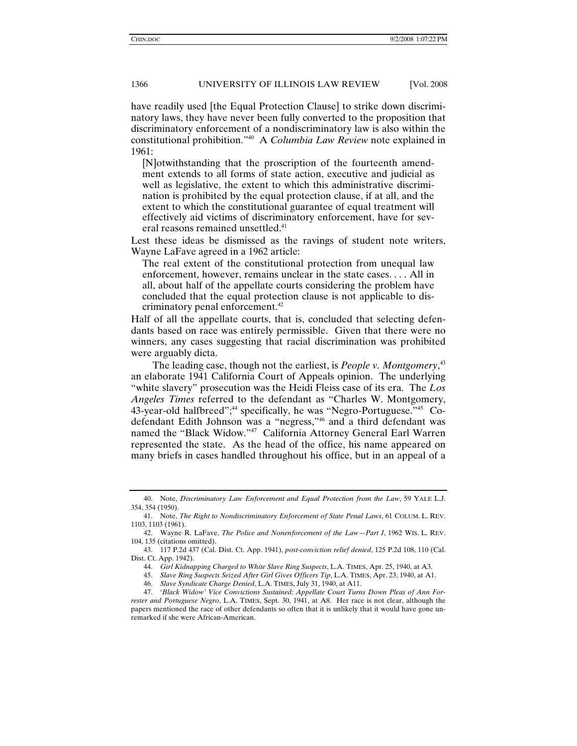have readily used [the Equal Protection Clause] to strike down discriminatory laws, they have never been fully converted to the proposition that discriminatory enforcement of a nondiscriminatory law is also within the constitutional prohibition."40 A *Columbia Law Review* note explained in 1961:

[N]otwithstanding that the proscription of the fourteenth amendment extends to all forms of state action, executive and judicial as well as legislative, the extent to which this administrative discrimination is prohibited by the equal protection clause, if at all, and the extent to which the constitutional guarantee of equal treatment will effectively aid victims of discriminatory enforcement, have for several reasons remained unsettled.<sup>41</sup>

Lest these ideas be dismissed as the ravings of student note writers, Wayne LaFave agreed in a 1962 article:

The real extent of the constitutional protection from unequal law enforcement, however, remains unclear in the state cases. . . . All in all, about half of the appellate courts considering the problem have concluded that the equal protection clause is not applicable to discriminatory penal enforcement.42

Half of all the appellate courts, that is, concluded that selecting defendants based on race was entirely permissible. Given that there were no winners, any cases suggesting that racial discrimination was prohibited were arguably dicta.

The leading case, though not the earliest, is *People v. Montgomery*, 43 an elaborate 1941 California Court of Appeals opinion. The underlying "white slavery" prosecution was the Heidi Fleiss case of its era. The *Los Angeles Times* referred to the defendant as "Charles W. Montgomery, 43-year-old halfbreed";<sup>44</sup> specifically, he was "Negro-Portuguese."<sup>45</sup> Codefendant Edith Johnson was a "negress,"46 and a third defendant was named the "Black Widow."47 California Attorney General Earl Warren represented the state. As the head of the office, his name appeared on many briefs in cases handled throughout his office, but in an appeal of a

 <sup>40.</sup> Note, *Discriminatory Law Enforcement and Equal Protection from the Law*, 59 YALE L.J. 354, 354 (1950).

 <sup>41.</sup> Note, *The Right to Nondiscriminatory Enforcement of State Penal Laws*, 61 COLUM. L. REV. 1103, 1103 (1961).

 <sup>42.</sup> Wayne R. LaFave, *The Police and Nonenforcement of the Law—Part I*, 1962 WIS. L. REV. 104, 135 (citations omitted).

 <sup>43. 117</sup> P.2d 437 (Cal. Dist. Ct. App. 1941), *post-conviction relief denied*, 125 P.2d 108, 110 (Cal. Dist. Ct. App. 1942).

 <sup>44.</sup> *Girl Kidnapping Charged to White Slave Ring Suspects*, L.A. TIMES, Apr. 25, 1940, at A3.

 <sup>45.</sup> *Slave Ring Suspects Seized After Girl Gives Officers Tip*, L.A. TIMES, Apr. 23, 1940, at A1.

 <sup>46.</sup> *Slave Syndicate Charge Denied*, L.A. TIMES, July 31, 1940, at A11.

 <sup>47. &#</sup>x27;*Black Widow' Vice Convictions Sustained: Appellate Court Turns Down Pleas of Ann Forrester and Portuguese Negro*, L.A. TIMES, Sept. 30, 1941, at A8. Her race is not clear, although the papers mentioned the race of other defendants so often that it is unlikely that it would have gone unremarked if she were African-American.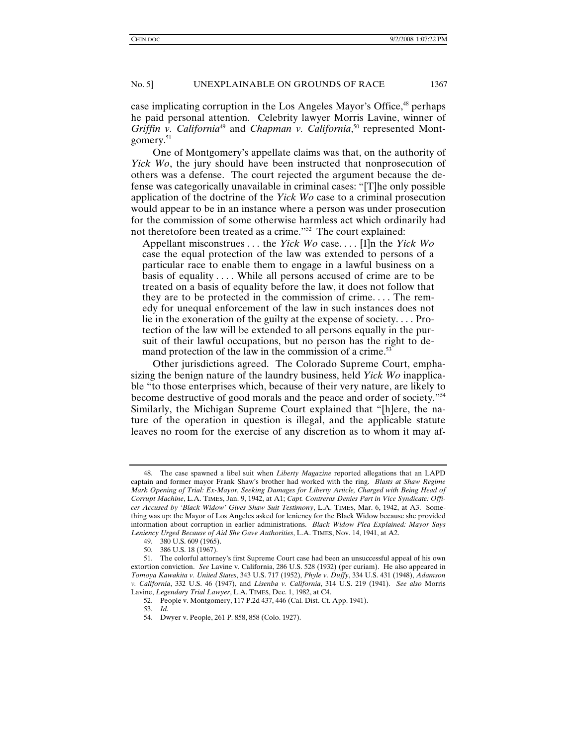case implicating corruption in the Los Angeles Mayor's Office, $48$  perhaps he paid personal attention. Celebrity lawyer Morris Lavine, winner of *Griffin v. California*49 and *Chapman v. California*, 50 represented Montgomery.<sup>51</sup>

One of Montgomery's appellate claims was that, on the authority of *Yick Wo*, the jury should have been instructed that nonprosecution of others was a defense. The court rejected the argument because the defense was categorically unavailable in criminal cases: "[T]he only possible application of the doctrine of the *Yick Wo* case to a criminal prosecution would appear to be in an instance where a person was under prosecution for the commission of some otherwise harmless act which ordinarily had not theretofore been treated as a crime."52 The court explained:

Appellant misconstrues . . . the *Yick Wo* case. . . . [I]n the *Yick Wo* case the equal protection of the law was extended to persons of a particular race to enable them to engage in a lawful business on a basis of equality . . . . While all persons accused of crime are to be treated on a basis of equality before the law, it does not follow that they are to be protected in the commission of crime. . . . The remedy for unequal enforcement of the law in such instances does not lie in the exoneration of the guilty at the expense of society. . . . Protection of the law will be extended to all persons equally in the pursuit of their lawful occupations, but no person has the right to demand protection of the law in the commission of a crime.<sup>53</sup>

Other jurisdictions agreed. The Colorado Supreme Court, emphasizing the benign nature of the laundry business, held *Yick Wo* inapplicable "to those enterprises which, because of their very nature, are likely to become destructive of good morals and the peace and order of society."54 Similarly, the Michigan Supreme Court explained that "[h]ere, the nature of the operation in question is illegal, and the applicable statute leaves no room for the exercise of any discretion as to whom it may af-

 <sup>48.</sup> The case spawned a libel suit when *Liberty Magazine* reported allegations that an LAPD captain and former mayor Frank Shaw's brother had worked with the ring. *Blasts at Shaw Regime Mark Opening of Trial: Ex-Mayor, Seeking Damages for Liberty Article, Charged with Being Head of Corrupt Machine*, L.A. TIMES, Jan. 9, 1942, at A1; *Capt. Contreras Denies Part in Vice Syndicate: Officer Accused by 'Black Widow' Gives Shaw Suit Testimony*, L.A. TIMES, Mar. 6, 1942, at A3. Something was up: the Mayor of Los Angeles asked for leniency for the Black Widow because she provided information about corruption in earlier administrations. *Black Widow Plea Explained: Mayor Says Leniency Urged Because of Aid She Gave Authorities*, L.A. TIMES, Nov. 14, 1941, at A2.

 <sup>49. 380</sup> U.S. 609 (1965).

 <sup>50. 386</sup> U.S. 18 (1967).

 <sup>51.</sup> The colorful attorney's first Supreme Court case had been an unsuccessful appeal of his own extortion conviction. *See* Lavine v. California, 286 U.S. 528 (1932) (per curiam). He also appeared in *Tomoya Kawakita v. United States*, 343 U.S. 717 (1952), *Phyle v. Duffy*, 334 U.S. 431 (1948), *Adamson v. California*, 332 U.S. 46 (1947), and *Lisenba v. California*, 314 U.S. 219 (1941). *See also* Morris Lavine, *Legendary Trial Lawyer*, L.A. TIMES, Dec. 1, 1982, at C4.

 <sup>52.</sup> People v. Montgomery, 117 P.2d 437, 446 (Cal. Dist. Ct. App. 1941).

<sup>53</sup>*. Id.*

 <sup>54.</sup> Dwyer v. People, 261 P. 858, 858 (Colo. 1927).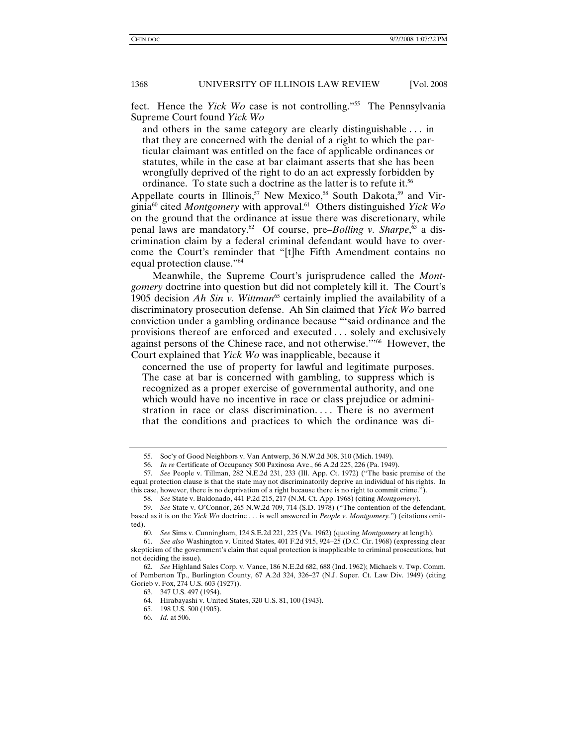fect. Hence the *Yick Wo* case is not controlling."55 The Pennsylvania Supreme Court found *Yick Wo*

and others in the same category are clearly distinguishable . . . in that they are concerned with the denial of a right to which the particular claimant was entitled on the face of applicable ordinances or statutes, while in the case at bar claimant asserts that she has been wrongfully deprived of the right to do an act expressly forbidden by ordinance. To state such a doctrine as the latter is to refute it.<sup>56</sup>

Appellate courts in Illinois,<sup>57</sup> New Mexico,<sup>58</sup> South Dakota,<sup>59</sup> and Virginia60 cited *Montgomery* with approval.61 Others distinguished *Yick Wo* on the ground that the ordinance at issue there was discretionary, while penal laws are mandatory.<sup>62</sup> Of course, pre–*Bolling v. Sharpe*,<sup>63</sup> a discrimination claim by a federal criminal defendant would have to overcome the Court's reminder that "[t]he Fifth Amendment contains no equal protection clause."64

Meanwhile, the Supreme Court's jurisprudence called the *Montgomery* doctrine into question but did not completely kill it. The Court's 1905 decision *Ah Sin v. Wittman*65 certainly implied the availability of a discriminatory prosecution defense. Ah Sin claimed that *Yick Wo* barred conviction under a gambling ordinance because "'said ordinance and the provisions thereof are enforced and executed . . . solely and exclusively against persons of the Chinese race, and not otherwise.'"66 However, the Court explained that *Yick Wo* was inapplicable, because it

concerned the use of property for lawful and legitimate purposes. The case at bar is concerned with gambling, to suppress which is recognized as a proper exercise of governmental authority, and one which would have no incentive in race or class prejudice or administration in race or class discrimination.... There is no averment that the conditions and practices to which the ordinance was di-

 <sup>55.</sup> Soc'y of Good Neighbors v. Van Antwerp, 36 N.W.2d 308, 310 (Mich. 1949).

<sup>56</sup>*. In re* Certificate of Occupancy 500 Paxinosa Ave., 66 A.2d 225, 226 (Pa. 1949).

<sup>57</sup>*. See* People v. Tillman, 282 N.E.2d 231, 233 (Ill. App. Ct. 1972) ("The basic premise of the equal protection clause is that the state may not discriminatorily deprive an individual of his rights. In this case, however, there is no deprivation of a right because there is no right to commit crime.").

<sup>58</sup>*. See* State v. Baldonado, 441 P.2d 215, 217 (N.M. Ct. App. 1968) (citing *Montgomery*).

<sup>59</sup>*. See* State v. O'Connor, 265 N.W.2d 709, 714 (S.D. 1978) ("The contention of the defendant, based as it is on the *Yick Wo* doctrine . . . is well answered in *People v. Montgomery.*") (citations omitted).

<sup>60</sup>*. See* Sims v. Cunningham, 124 S.E.2d 221, 225 (Va. 1962) (quoting *Montgomery* at length).

<sup>61</sup>*. See also* Washington v. United States, 401 F.2d 915, 924–25 (D.C. Cir. 1968) (expressing clear skepticism of the government's claim that equal protection is inapplicable to criminal prosecutions, but not deciding the issue).

<sup>62</sup>*. See* Highland Sales Corp. v. Vance, 186 N.E.2d 682, 688 (Ind. 1962); Michaels v. Twp. Comm. of Pemberton Tp., Burlington County, 67 A.2d 324, 326–27 (N.J. Super. Ct. Law Div. 1949) (citing Gorieb v. Fox, 274 U.S. 603 (1927)).

 <sup>63. 347</sup> U.S. 497 (1954).

 <sup>64.</sup> Hirabayashi v. United States, 320 U.S. 81, 100 (1943).

 <sup>65. 198</sup> U.S. 500 (1905).

<sup>66</sup>*. Id.* at 506.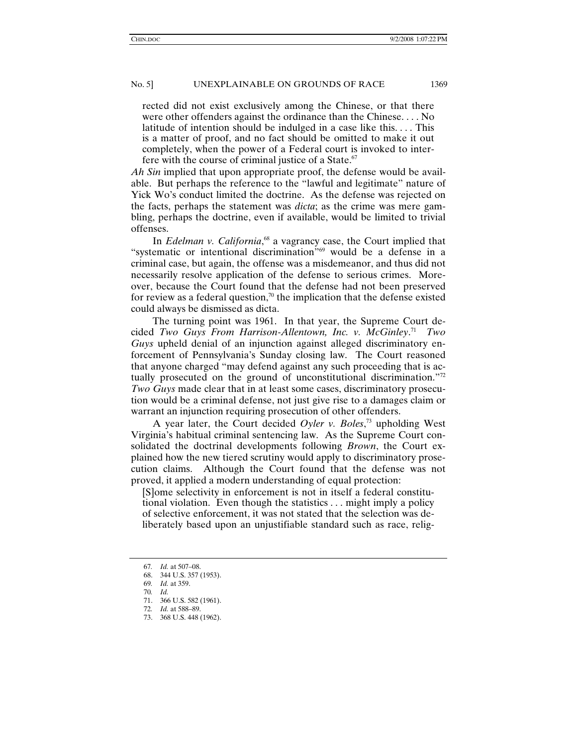rected did not exist exclusively among the Chinese, or that there were other offenders against the ordinance than the Chinese. . . . No latitude of intention should be indulged in a case like this. . . . This is a matter of proof, and no fact should be omitted to make it out completely, when the power of a Federal court is invoked to interfere with the course of criminal justice of a State.<sup>67</sup>

*Ah Sin* implied that upon appropriate proof, the defense would be available. But perhaps the reference to the "lawful and legitimate" nature of Yick Wo's conduct limited the doctrine. As the defense was rejected on the facts, perhaps the statement was *dicta*; as the crime was mere gambling, perhaps the doctrine, even if available, would be limited to trivial offenses.

In *Edelman v. California*,<sup>68</sup> a vagrancy case, the Court implied that "systematic or intentional discrimination"<sup>69</sup> would be a defense in a criminal case, but again, the offense was a misdemeanor, and thus did not necessarily resolve application of the defense to serious crimes. Moreover, because the Court found that the defense had not been preserved for review as a federal question,<sup>70</sup> the implication that the defense existed could always be dismissed as dicta.

The turning point was 1961. In that year, the Supreme Court decided *Two Guys From Harrison-Allentown, Inc. v. McGinley*. 71 *Two Guys* upheld denial of an injunction against alleged discriminatory enforcement of Pennsylvania's Sunday closing law. The Court reasoned that anyone charged "may defend against any such proceeding that is actually prosecuted on the ground of unconstitutional discrimination."72 *Two Guys* made clear that in at least some cases, discriminatory prosecution would be a criminal defense, not just give rise to a damages claim or warrant an injunction requiring prosecution of other offenders.

A year later, the Court decided *Oyler v. Boles*, 73 upholding West Virginia's habitual criminal sentencing law. As the Supreme Court consolidated the doctrinal developments following *Brown*, the Court explained how the new tiered scrutiny would apply to discriminatory prosecution claims. Although the Court found that the defense was not proved, it applied a modern understanding of equal protection:

[S]ome selectivity in enforcement is not in itself a federal constitutional violation. Even though the statistics . . . might imply a policy of selective enforcement, it was not stated that the selection was deliberately based upon an unjustifiable standard such as race, relig-

<sup>67</sup>*. Id.* at 507–08.

 <sup>68. 344</sup> U.S. 357 (1953).

<sup>69</sup>*. Id.* at 359.

<sup>70</sup>*. Id.*

 <sup>71. 366</sup> U.S. 582 (1961).

<sup>72</sup>*. Id.* at 588–89.

 <sup>73. 368</sup> U.S. 448 (1962).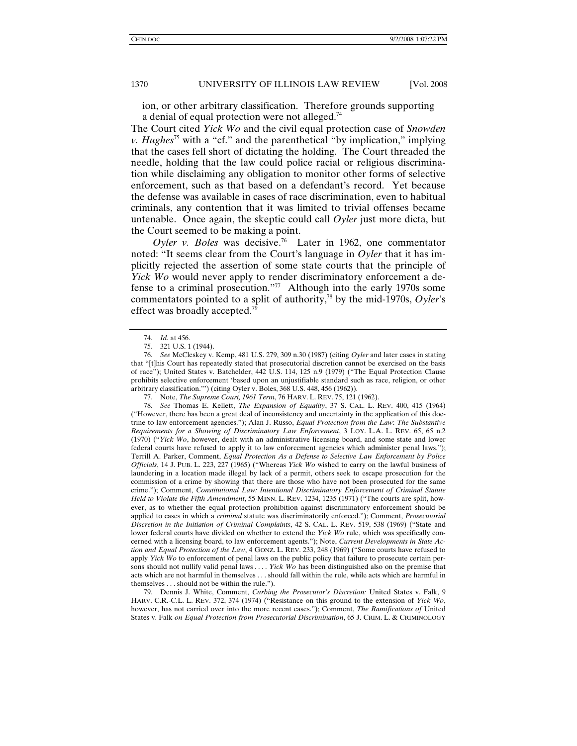ion, or other arbitrary classification. Therefore grounds supporting a denial of equal protection were not alleged.<sup>74</sup>

The Court cited *Yick Wo* and the civil equal protection case of *Snowden v. Hughes*75 with a "cf." and the parenthetical "by implication," implying that the cases fell short of dictating the holding. The Court threaded the needle, holding that the law could police racial or religious discrimination while disclaiming any obligation to monitor other forms of selective enforcement, such as that based on a defendant's record. Yet because the defense was available in cases of race discrimination, even to habitual criminals, any contention that it was limited to trivial offenses became untenable. Once again, the skeptic could call *Oyler* just more dicta, but the Court seemed to be making a point.

*Oyler v. Boles* was decisive.<sup>76</sup> Later in 1962, one commentator noted: "It seems clear from the Court's language in *Oyler* that it has implicitly rejected the assertion of some state courts that the principle of *Yick Wo* would never apply to render discriminatory enforcement a defense to a criminal prosecution."77 Although into the early 1970s some commentators pointed to a split of authority,78 by the mid-1970s, *Oyler*'s effect was broadly accepted.<sup>79</sup>

77. Note, *The Supreme Court, 1961 Term*, 76 HARV. L. REV. 75, 121 (1962).

78*. See* Thomas E. Kellett, *The Expansion of Equality*, 37 S. CAL. L. REV. 400, 415 (1964) ("However, there has been a great deal of inconsistency and uncertainty in the application of this doctrine to law enforcement agencies."); Alan J. Russo, *Equal Protection from the Law*: *The Substantive Requirements for a Showing of Discriminatory Law Enforcement*, 3 LOY. L.A. L. REV. 65, 65 n.2 (1970) ("*Yick Wo*, however, dealt with an administrative licensing board, and some state and lower federal courts have refused to apply it to law enforcement agencies which administer penal laws."); Terrill A. Parker, Comment, *Equal Protection As a Defense to Selective Law Enforcement by Police Officials*, 14 J. PUB. L. 223, 227 (1965) ("Whereas *Yick Wo* wished to carry on the lawful business of laundering in a location made illegal by lack of a permit, others seek to escape prosecution for the commission of a crime by showing that there are those who have not been prosecuted for the same crime."); Comment, *Constitutional Law: Intentional Discriminatory Enforcement of Criminal Statute Held to Violate the Fifth Amendment*, 55 MINN. L. REV. 1234, 1235 (1971) ("The courts are split, however, as to whether the equal protection prohibition against discriminatory enforcement should be applied to cases in which a *criminal* statute was discriminatorily enforced."); Comment, *Prosecutorial Discretion in the Initiation of Criminal Complaints*, 42 S. CAL. L. REV. 519, 538 (1969) ("State and lower federal courts have divided on whether to extend the *Yick Wo* rule, which was specifically concerned with a licensing board, to law enforcement agents."); Note, *Current Developments in State Action and Equal Protection of the Law*, 4 GONZ. L. REV. 233, 248 (1969) ("Some courts have refused to apply *Yick Wo* to enforcement of penal laws on the public policy that failure to prosecute certain persons should not nullify valid penal laws . . . . *Yick Wo* has been distinguished also on the premise that acts which are not harmful in themselves . . . should fall within the rule, while acts which are harmful in themselves . . . should not be within the rule.").

 79. Dennis J. White, Comment, *Curbing the Prosecutor's Discretion:* United States v. Falk, 9 HARV. C.R.-C.L. L. REV. 372, 374 (1974) ("Resistance on this ground to the extension of *Yick Wo*, however, has not carried over into the more recent cases."); Comment, *The Ramifications of* United States v. Falk *on Equal Protection from Prosecutorial Discrimination*, 65 J. CRIM. L. & CRIMINOLOGY

<sup>74</sup>*. Id.* at 456.

 <sup>75. 321</sup> U.S. 1 (1944).

<sup>76</sup>*. See* McCleskey v. Kemp, 481 U.S. 279, 309 n.30 (1987) (citing *Oyler* and later cases in stating that "[t]his Court has repeatedly stated that prosecutorial discretion cannot be exercised on the basis of race"); United States v. Batchelder, 442 U.S. 114, 125 n.9 (1979) ("The Equal Protection Clause prohibits selective enforcement 'based upon an unjustifiable standard such as race, religion, or other arbitrary classification.'") (citing Oyler v. Boles, 368 U.S. 448, 456 (1962)).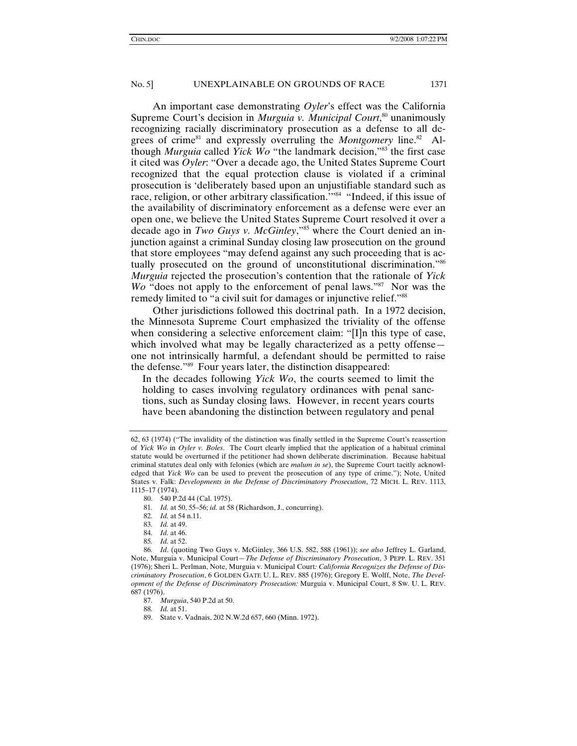An important case demonstrating *Oyler*'s effect was the California Supreme Court's decision in *Murguia v. Municipal Court*,<sup>80</sup> unanimously recognizing racially discriminatory prosecution as a defense to all degrees of crime<sup>81</sup> and expressly overruling the *Montgomery* line.<sup>82</sup> Although *Murguia* called *Yick Wo* "the landmark decision,"83 the first case it cited was *Oyler*: "Over a decade ago, the United States Supreme Court recognized that the equal protection clause is violated if a criminal prosecution is 'deliberately based upon an unjustifiable standard such as race, religion, or other arbitrary classification.'"84 "Indeed, if this issue of the availability of discriminatory enforcement as a defense were ever an open one, we believe the United States Supreme Court resolved it over a decade ago in *Two Guys v. McGinley*,"85 where the Court denied an injunction against a criminal Sunday closing law prosecution on the ground that store employees "may defend against any such proceeding that is actually prosecuted on the ground of unconstitutional discrimination."86 *Murguia* rejected the prosecution's contention that the rationale of *Yick Wo* "does not apply to the enforcement of penal laws."<sup>87</sup> Nor was the remedy limited to "a civil suit for damages or injunctive relief."<sup>88</sup>

Other jurisdictions followed this doctrinal path. In a 1972 decision, the Minnesota Supreme Court emphasized the triviality of the offense when considering a selective enforcement claim: "[I]n this type of case, which involved what may be legally characterized as a petty offense one not intrinsically harmful, a defendant should be permitted to raise the defense."89 Four years later, the distinction disappeared:

In the decades following *Yick Wo*, the courts seemed to limit the holding to cases involving regulatory ordinances with penal sanctions, such as Sunday closing laws. However, in recent years courts have been abandoning the distinction between regulatory and penal

86*. Id*. (quoting Two Guys v. McGinley, 366 U.S. 582, 588 (1961)); *see also* Jeffrey L. Garland, Note, Murguia v. Municipal Court—*The Defense of Discriminatory Prosecution*, 3 PEPP. L. REV. 351 (1976); Sheri L. Perlman, Note, Murguia v. Municipal Court*: California Recognizes the Defense of Discriminatory Prosecution*, 6 GOLDEN GATE U. L. REV. 885 (1976); Gregory E. Wolff, Note, *The Development of the Defense of Discriminatory Prosecution:* Murguia v. Municipal Court, 8 SW. U. L. REV. 687 (1976).

88*. Id.* at 51.

<sup>62, 63 (1974) (&</sup>quot;The invalidity of the distinction was finally settled in the Supreme Court's reassertion of *Yick Wo* in *Oyler v. Boles*. The Court clearly implied that the application of a habitual criminal statute would be overturned if the petitioner had shown deliberate discrimination. Because habitual criminal statutes deal only with felonies (which are *malum in se*), the Supreme Court tacitly acknowledged that *Yick Wo* can be used to prevent the prosecution of any type of crime."); Note, United States v. Falk: *Developments in the Defense of Discriminatory Prosecution*, 72 MICH. L. REV. 1113, 1115–17 (1974).

 <sup>80. 540</sup> P.2d 44 (Cal. 1975).

<sup>81</sup>*. Id.* at 50, 55–56; *id.* at 58 (Richardson, J., concurring).

<sup>82</sup>*. Id.* at 54 n.11.

<sup>83</sup>*. Id.* at 49.

<sup>84</sup>*. Id.* at 46.

<sup>85</sup>*. Id.* at 52.

<sup>87</sup>*. Murguia*, 540 P.2d at 50.

 <sup>89.</sup> State v. Vadnais, 202 N.W.2d 657, 660 (Minn. 1972).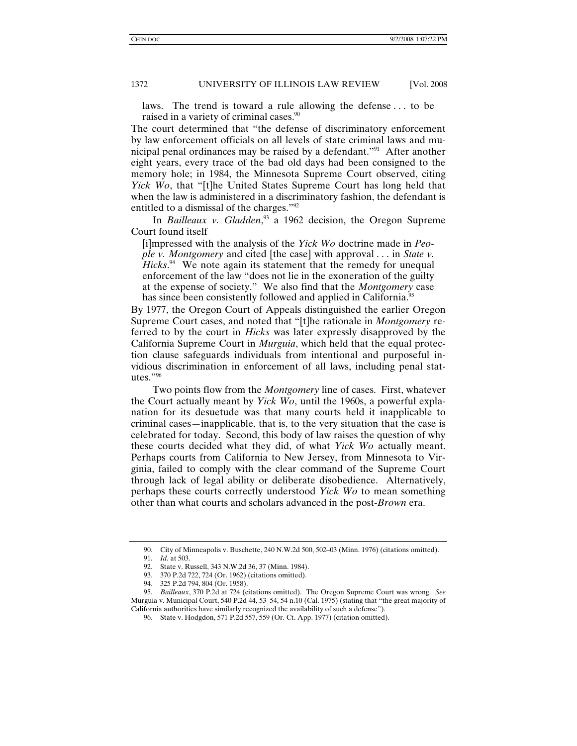laws. The trend is toward a rule allowing the defense . . . to be raised in a variety of criminal cases.<sup>90</sup>

The court determined that "the defense of discriminatory enforcement by law enforcement officials on all levels of state criminal laws and municipal penal ordinances may be raised by a defendant."91 After another eight years, every trace of the bad old days had been consigned to the memory hole; in 1984, the Minnesota Supreme Court observed, citing *Yick Wo*, that "[t]he United States Supreme Court has long held that when the law is administered in a discriminatory fashion, the defendant is entitled to a dismissal of the charges."92

In *Bailleaux v. Gladden*,<sup>93</sup> a 1962 decision, the Oregon Supreme Court found itself

[i]mpressed with the analysis of the *Yick Wo* doctrine made in *People v. Montgomery* and cited [the case] with approval . . . in *State v. Hicks*.<sup>94</sup> We note again its statement that the remedy for unequal enforcement of the law "does not lie in the exoneration of the guilty at the expense of society." We also find that the *Montgomery* case has since been consistently followed and applied in California.<sup>95</sup>

By 1977, the Oregon Court of Appeals distinguished the earlier Oregon Supreme Court cases, and noted that "[t]he rationale in *Montgomery* referred to by the court in *Hicks* was later expressly disapproved by the California Supreme Court in *Murguia*, which held that the equal protection clause safeguards individuals from intentional and purposeful invidious discrimination in enforcement of all laws, including penal statutes."96

Two points flow from the *Montgomery* line of cases. First, whatever the Court actually meant by *Yick Wo*, until the 1960s, a powerful explanation for its desuetude was that many courts held it inapplicable to criminal cases—inapplicable, that is, to the very situation that the case is celebrated for today. Second, this body of law raises the question of why these courts decided what they did, of what *Yick Wo* actually meant. Perhaps courts from California to New Jersey, from Minnesota to Virginia, failed to comply with the clear command of the Supreme Court through lack of legal ability or deliberate disobedience. Alternatively, perhaps these courts correctly understood *Yick Wo* to mean something other than what courts and scholars advanced in the post-*Brown* era.

 <sup>90.</sup> City of Minneapolis v. Buschette, 240 N.W.2d 500, 502–03 (Minn. 1976) (citations omitted).

<sup>91</sup>*. Id.* at 503.

 <sup>92.</sup> State v. Russell, 343 N.W.2d 36, 37 (Minn. 1984).

 <sup>93. 370</sup> P.2d 722, 724 (Or. 1962) (citations omitted).

 <sup>94. 325</sup> P.2d 794, 804 (Or. 1958).

<sup>95</sup>*. Bailleaux*, 370 P.2d at 724 (citations omitted). The Oregon Supreme Court was wrong. *See* Murguia v. Municipal Court, 540 P.2d 44, 53–54, 54 n.10 (Cal. 1975) (stating that "the great majority of California authorities have similarly recognized the availability of such a defense").

 <sup>96.</sup> State v. Hodgdon, 571 P.2d 557, 559 (Or. Ct. App. 1977) (citation omitted).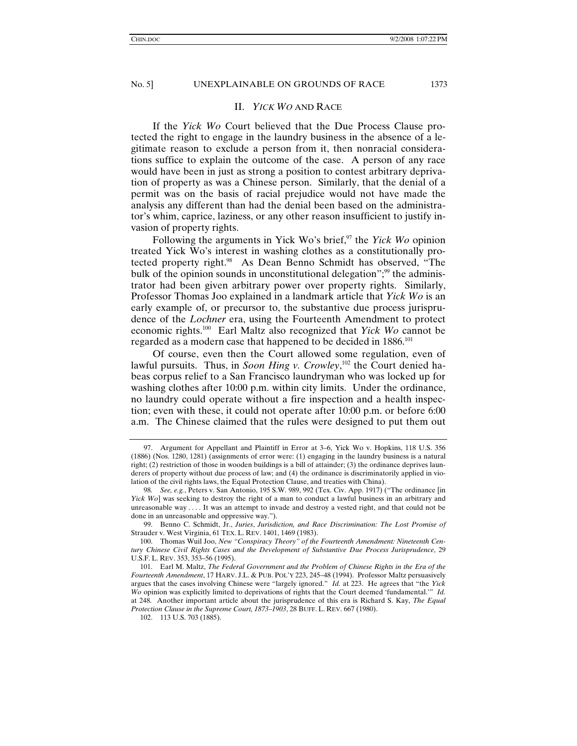## II. *YICK WO* AND RACE

If the *Yick Wo* Court believed that the Due Process Clause protected the right to engage in the laundry business in the absence of a legitimate reason to exclude a person from it, then nonracial considerations suffice to explain the outcome of the case. A person of any race would have been in just as strong a position to contest arbitrary deprivation of property as was a Chinese person. Similarly, that the denial of a permit was on the basis of racial prejudice would not have made the analysis any different than had the denial been based on the administrator's whim, caprice, laziness, or any other reason insufficient to justify invasion of property rights.

Following the arguments in Yick Wo's brief,<sup>97</sup> the *Yick Wo* opinion treated Yick Wo's interest in washing clothes as a constitutionally protected property right.<sup>98</sup> As Dean Benno Schmidt has observed, "The bulk of the opinion sounds in unconstitutional delegation"; $\frac{9}{2}$ <sup>9</sup> the administrator had been given arbitrary power over property rights. Similarly, Professor Thomas Joo explained in a landmark article that *Yick Wo* is an early example of, or precursor to, the substantive due process jurisprudence of the *Lochner* era, using the Fourteenth Amendment to protect economic rights.100 Earl Maltz also recognized that *Yick Wo* cannot be regarded as a modern case that happened to be decided in 1886.<sup>101</sup>

Of course, even then the Court allowed some regulation, even of lawful pursuits. Thus, in *Soon Hing v. Crowley*, 102 the Court denied habeas corpus relief to a San Francisco laundryman who was locked up for washing clothes after 10:00 p.m. within city limits. Under the ordinance, no laundry could operate without a fire inspection and a health inspection; even with these, it could not operate after 10:00 p.m. or before 6:00 a.m. The Chinese claimed that the rules were designed to put them out

 <sup>97.</sup> Argument for Appellant and Plaintiff in Error at 3–6, Yick Wo v. Hopkins, 118 U.S. 356 (1886) (Nos. 1280, 1281) (assignments of error were: (1) engaging in the laundry business is a natural right; (2) restriction of those in wooden buildings is a bill of attainder; (3) the ordinance deprives launderers of property without due process of law; and (4) the ordinance is discriminatorily applied in violation of the civil rights laws, the Equal Protection Clause, and treaties with China).

<sup>98</sup>*. See, e.g.*, Peters v. San Antonio, 195 S.W. 989, 992 (Tex. Civ. App. 1917) ("The ordinance [in *Yick Wo*] was seeking to destroy the right of a man to conduct a lawful business in an arbitrary and unreasonable way . . . It was an attempt to invade and destroy a vested right, and that could not be done in an unreasonable and oppressive way.").

 <sup>99.</sup> Benno C. Schmidt, Jr., *Juries*, *Jurisdiction, and Race Discrimination: The Lost Promise of*  Strauder v. West Virginia, 61 TEX. L. REV. 1401, 1469 (1983).

 <sup>100.</sup> Thomas Wuil Joo, *New "Conspiracy Theory" of the Fourteenth Amendment: Nineteenth Century Chinese Civil Rights Cases and the Development of Substantive Due Process Jurisprudence*, 29 U.S.F. L. REV. 353, 353–56 (1995).

 <sup>101.</sup> Earl M. Maltz, *The Federal Government and the Problem of Chinese Rights in the Era of the Fourteenth Amendment*, 17 HARV. J.L. & PUB. POL'Y 223, 245–48 (1994). Professor Maltz persuasively argues that the cases involving Chinese were "largely ignored." *Id.* at 223. He agrees that "the *Yick Wo* opinion was explicitly limited to deprivations of rights that the Court deemed 'fundamental.'" *Id.* at 248. Another important article about the jurisprudence of this era is Richard S. Kay, *The Equal Protection Clause in the Supreme Court, 1873–1903*, 28 BUFF. L. REV. 667 (1980).

 <sup>102. 113</sup> U.S. 703 (1885).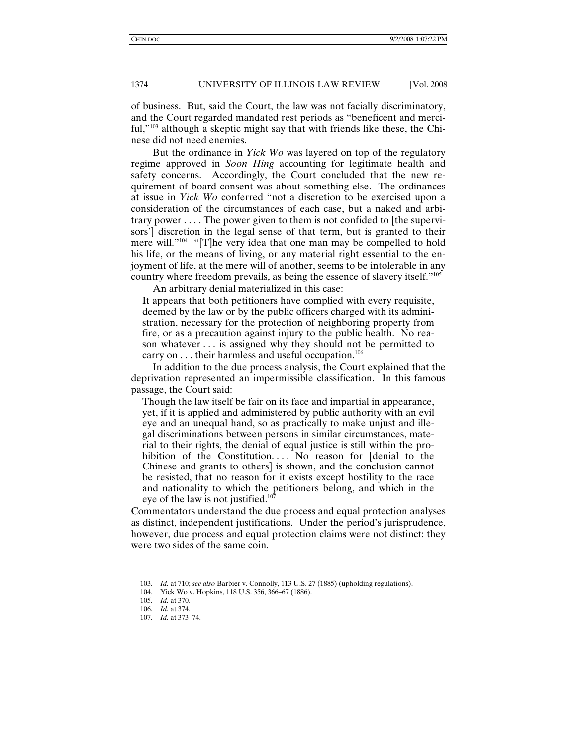of business. But, said the Court, the law was not facially discriminatory, and the Court regarded mandated rest periods as "beneficent and merciful,"103 although a skeptic might say that with friends like these, the Chinese did not need enemies.

But the ordinance in *Yick Wo* was layered on top of the regulatory regime approved in *Soon Hing* accounting for legitimate health and safety concerns. Accordingly, the Court concluded that the new requirement of board consent was about something else. The ordinances at issue in *Yick Wo* conferred "not a discretion to be exercised upon a consideration of the circumstances of each case, but a naked and arbitrary power . . . . The power given to them is not confided to [the supervisors'] discretion in the legal sense of that term, but is granted to their mere will."<sup>104</sup> "[T]he very idea that one man may be compelled to hold his life, or the means of living, or any material right essential to the enjoyment of life, at the mere will of another, seems to be intolerable in any country where freedom prevails, as being the essence of slavery itself."105

An arbitrary denial materialized in this case:

It appears that both petitioners have complied with every requisite, deemed by the law or by the public officers charged with its administration, necessary for the protection of neighboring property from fire, or as a precaution against injury to the public health. No reason whatever . . . is assigned why they should not be permitted to carry on  $\dots$  their harmless and useful occupation.<sup>106</sup>

In addition to the due process analysis, the Court explained that the deprivation represented an impermissible classification. In this famous passage, the Court said:

Though the law itself be fair on its face and impartial in appearance, yet, if it is applied and administered by public authority with an evil eye and an unequal hand, so as practically to make unjust and illegal discriminations between persons in similar circumstances, material to their rights, the denial of equal justice is still within the prohibition of the Constitution.... No reason for [denial to the Chinese and grants to others] is shown, and the conclusion cannot be resisted, that no reason for it exists except hostility to the race and nationality to which the petitioners belong, and which in the eye of the law is not justified.<sup>107</sup>

Commentators understand the due process and equal protection analyses as distinct, independent justifications. Under the period's jurisprudence, however, due process and equal protection claims were not distinct: they were two sides of the same coin.

<sup>103</sup>*. Id.* at 710; *see also* Barbier v. Connolly, 113 U.S. 27 (1885) (upholding regulations).

 <sup>104.</sup> Yick Wo v. Hopkins, 118 U.S. 356, 366–67 (1886).

<sup>105</sup>*. Id.* at 370.

<sup>106</sup>*. Id.* at 374.

<sup>107</sup>*. Id.* at 373–74.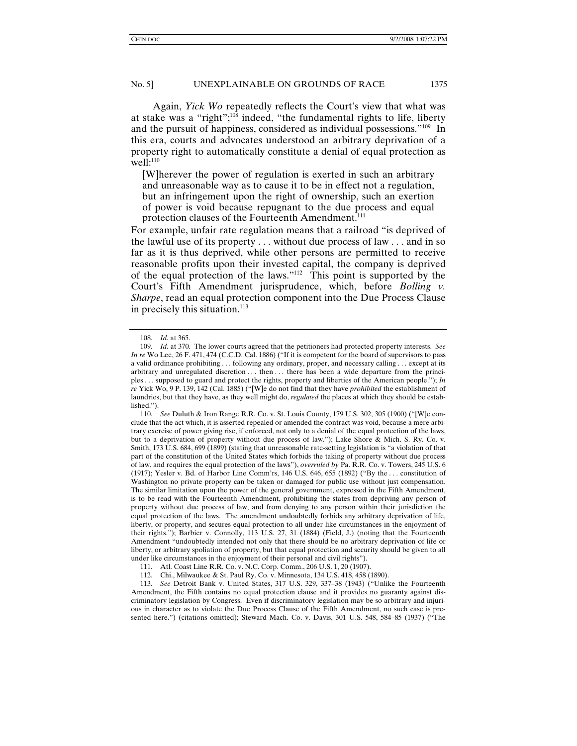Again, *Yick Wo* repeatedly reflects the Court's view that what was at stake was a "right";108 indeed, "the fundamental rights to life, liberty and the pursuit of happiness, considered as individual possessions."109 In this era, courts and advocates understood an arbitrary deprivation of a property right to automatically constitute a denial of equal protection as  $\text{well}:^{110}$ 

[W]herever the power of regulation is exerted in such an arbitrary and unreasonable way as to cause it to be in effect not a regulation, but an infringement upon the right of ownership, such an exertion of power is void because repugnant to the due process and equal protection clauses of the Fourteenth Amendment.<sup>111</sup>

For example, unfair rate regulation means that a railroad "is deprived of the lawful use of its property . . . without due process of law . . . and in so far as it is thus deprived, while other persons are permitted to receive reasonable profits upon their invested capital, the company is deprived of the equal protection of the laws."112 This point is supported by the Court's Fifth Amendment jurisprudence, which, before *Bolling v. Sharpe*, read an equal protection component into the Due Process Clause in precisely this situation. $113$ 

<sup>108</sup>*. Id.* at 365.

<sup>109</sup>*. Id.* at 370. The lower courts agreed that the petitioners had protected property interests. *See In re* Wo Lee, 26 F. 471, 474 (C.C.D. Cal. 1886) ("If it is competent for the board of supervisors to pass a valid ordinance prohibiting . . . following any ordinary, proper, and necessary calling . . . except at its arbitrary and unregulated discretion . . . then . . . there has been a wide departure from the principles . . . supposed to guard and protect the rights, property and liberties of the American people."); *In re* Yick Wo, 9 P. 139, 142 (Cal. 1885) ("[W]e do not find that they have *prohibited* the establishment of laundries, but that they have, as they well might do, *regulated* the places at which they should be established.").

<sup>110</sup>*. See* Duluth & Iron Range R.R. Co. v. St. Louis County, 179 U.S. 302, 305 (1900) ("[W]e conclude that the act which, it is asserted repealed or amended the contract was void, because a mere arbitrary exercise of power giving rise, if enforced, not only to a denial of the equal protection of the laws, but to a deprivation of property without due process of law."); Lake Shore & Mich. S. Ry. Co. v. Smith, 173 U.S. 684, 699 (1899) (stating that unreasonable rate-setting legislation is "a violation of that part of the constitution of the United States which forbids the taking of property without due process of law, and requires the equal protection of the laws"), *overruled by* Pa. R.R. Co. v. Towers, 245 U.S. 6 (1917); Yesler v. Bd. of Harbor Line Comm'rs, 146 U.S. 646, 655 (1892) ("By the . . . constitution of Washington no private property can be taken or damaged for public use without just compensation. The similar limitation upon the power of the general government, expressed in the Fifth Amendment, is to be read with the Fourteenth Amendment, prohibiting the states from depriving any person of property without due process of law, and from denying to any person within their jurisdiction the equal protection of the laws. The amendment undoubtedly forbids any arbitrary deprivation of life, liberty, or property, and secures equal protection to all under like circumstances in the enjoyment of their rights."); Barbier v. Connolly, 113 U.S. 27, 31 (1884) (Field, J.) (noting that the Fourteenth Amendment "undoubtedly intended not only that there should be no arbitrary deprivation of life or liberty, or arbitrary spoliation of property, but that equal protection and security should be given to all under like circumstances in the enjoyment of their personal and civil rights").

 <sup>111.</sup> Atl. Coast Line R.R. Co. v. N.C. Corp. Comm., 206 U.S. 1, 20 (1907).

 <sup>112.</sup> Chi., Milwaukee & St. Paul Ry. Co. v. Minnesota, 134 U.S. 418, 458 (1890).

<sup>113</sup>*. See* Detroit Bank v. United States, 317 U.S. 329, 337–38 (1943) ("Unlike the Fourteenth Amendment, the Fifth contains no equal protection clause and it provides no guaranty against discriminatory legislation by Congress. Even if discriminatory legislation may be so arbitrary and injurious in character as to violate the Due Process Clause of the Fifth Amendment, no such case is presented here.") (citations omitted); Steward Mach. Co. v. Davis, 301 U.S. 548, 584–85 (1937) ("The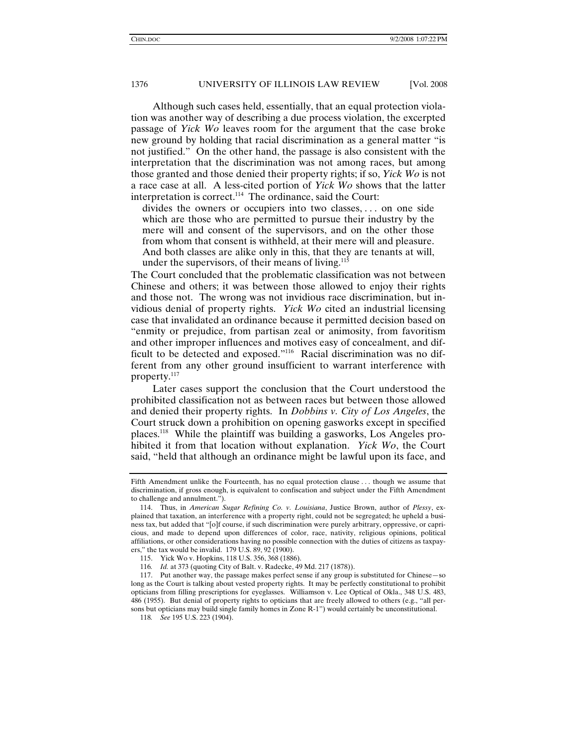Although such cases held, essentially, that an equal protection violation was another way of describing a due process violation, the excerpted passage of *Yick Wo* leaves room for the argument that the case broke new ground by holding that racial discrimination as a general matter "is not justified." On the other hand, the passage is also consistent with the interpretation that the discrimination was not among races, but among those granted and those denied their property rights; if so, *Yick Wo* is not a race case at all. A less-cited portion of *Yick Wo* shows that the latter interpretation is correct.<sup>114</sup> The ordinance, said the Court:

divides the owners or occupiers into two classes, . . . on one side which are those who are permitted to pursue their industry by the mere will and consent of the supervisors, and on the other those from whom that consent is withheld, at their mere will and pleasure. And both classes are alike only in this, that they are tenants at will,

under the supervisors, of their means of living.<sup>115</sup>

The Court concluded that the problematic classification was not between Chinese and others; it was between those allowed to enjoy their rights and those not. The wrong was not invidious race discrimination, but invidious denial of property rights. *Yick Wo* cited an industrial licensing case that invalidated an ordinance because it permitted decision based on "enmity or prejudice, from partisan zeal or animosity, from favoritism and other improper influences and motives easy of concealment, and difficult to be detected and exposed."116 Racial discrimination was no different from any other ground insufficient to warrant interference with property.<sup>117</sup>

Later cases support the conclusion that the Court understood the prohibited classification not as between races but between those allowed and denied their property rights. In *Dobbins v. City of Los Angeles*, the Court struck down a prohibition on opening gasworks except in specified places.118 While the plaintiff was building a gasworks, Los Angeles prohibited it from that location without explanation. *Yick Wo*, the Court said, "held that although an ordinance might be lawful upon its face, and

Fifth Amendment unlike the Fourteenth, has no equal protection clause . . . though we assume that discrimination, if gross enough, is equivalent to confiscation and subject under the Fifth Amendment to challenge and annulment.").

 <sup>114.</sup> Thus, in *American Sugar Refining Co. v. Louisiana*, Justice Brown, author of *Plessy*, explained that taxation, an interference with a property right, could not be segregated; he upheld a business tax, but added that "[o]f course, if such discrimination were purely arbitrary, oppressive, or capricious, and made to depend upon differences of color, race, nativity, religious opinions, political affiliations, or other considerations having no possible connection with the duties of citizens as taxpayers," the tax would be invalid. 179 U.S. 89, 92 (1900).

 <sup>115.</sup> Yick Wo v. Hopkins, 118 U.S. 356, 368 (1886).

<sup>116</sup>*. Id.* at 373 (quoting City of Balt. v. Radecke, 49 Md. 217 (1878)).

 <sup>117.</sup> Put another way, the passage makes perfect sense if any group is substituted for Chinese—so long as the Court is talking about vested property rights. It may be perfectly constitutional to prohibit opticians from filling prescriptions for eyeglasses. Williamson v. Lee Optical of Okla., 348 U.S. 483, 486 (1955). But denial of property rights to opticians that are freely allowed to others (e.g., "all persons but opticians may build single family homes in Zone R-1") would certainly be unconstitutional.

<sup>118</sup>*. See* 195 U.S. 223 (1904).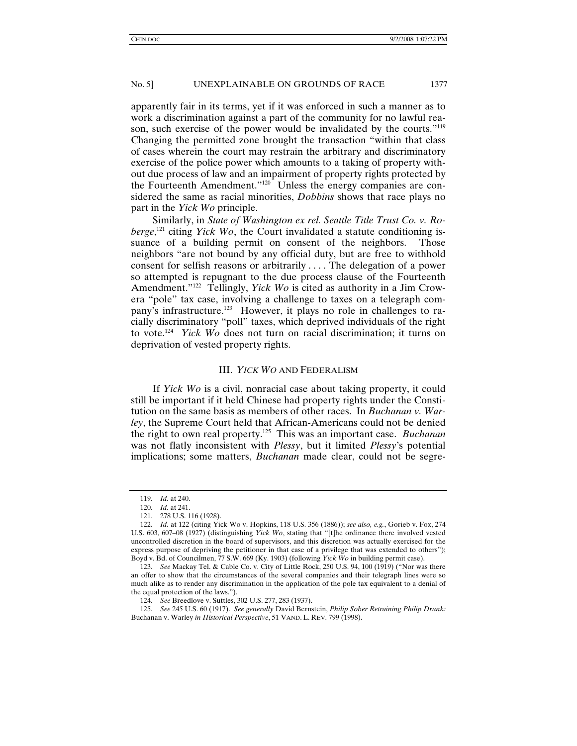apparently fair in its terms, yet if it was enforced in such a manner as to work a discrimination against a part of the community for no lawful reason, such exercise of the power would be invalidated by the courts."<sup>119</sup> Changing the permitted zone brought the transaction "within that class of cases wherein the court may restrain the arbitrary and discriminatory exercise of the police power which amounts to a taking of property without due process of law and an impairment of property rights protected by the Fourteenth Amendment."<sup>120</sup> Unless the energy companies are considered the same as racial minorities, *Dobbins* shows that race plays no part in the *Yick Wo* principle.

Similarly, in *State of Washington ex rel. Seattle Title Trust Co. v. Roberge*, 121 citing *Yick Wo*, the Court invalidated a statute conditioning issuance of a building permit on consent of the neighbors. Those neighbors "are not bound by any official duty, but are free to withhold consent for selfish reasons or arbitrarily . . . . The delegation of a power so attempted is repugnant to the due process clause of the Fourteenth Amendment."122 Tellingly, *Yick Wo* is cited as authority in a Jim Crowera "pole" tax case, involving a challenge to taxes on a telegraph company's infrastructure.<sup>123</sup> However, it plays no role in challenges to racially discriminatory "poll" taxes, which deprived individuals of the right to vote.124 *Yick Wo* does not turn on racial discrimination; it turns on deprivation of vested property rights.

#### III. *YICK WO* AND FEDERALISM

If *Yick Wo* is a civil, nonracial case about taking property, it could still be important if it held Chinese had property rights under the Constitution on the same basis as members of other races. In *Buchanan v. Warley*, the Supreme Court held that African-Americans could not be denied the right to own real property.125 This was an important case. *Buchanan* was not flatly inconsistent with *Plessy*, but it limited *Plessy*'s potential implications; some matters, *Buchanan* made clear, could not be segre-

<sup>119</sup>*. Id.* at 240.

<sup>120</sup>*. Id.* at 241.

 <sup>121. 278</sup> U.S. 116 (1928).

<sup>122</sup>*. Id.* at 122 (citing Yick Wo v. Hopkins, 118 U.S. 356 (1886)); *see also, e.g.*, Gorieb v. Fox, 274 U.S. 603, 607–08 (1927) (distinguishing *Yick Wo*, stating that "[t]he ordinance there involved vested uncontrolled discretion in the board of supervisors, and this discretion was actually exercised for the express purpose of depriving the petitioner in that case of a privilege that was extended to others"); Boyd v. Bd. of Councilmen, 77 S.W. 669 (Ky. 1903) (following *Yick Wo* in building permit case).

<sup>123</sup>*. See* Mackay Tel. & Cable Co. v. City of Little Rock, 250 U.S. 94, 100 (1919) ("Nor was there an offer to show that the circumstances of the several companies and their telegraph lines were so much alike as to render any discrimination in the application of the pole tax equivalent to a denial of the equal protection of the laws.").

<sup>124</sup>*. See* Breedlove v. Suttles, 302 U.S. 277, 283 (1937).

<sup>125</sup>*. See* 245 U.S. 60 (1917). *See generally* David Bernstein, *Philip Sober Retraining Philip Drunk:* Buchanan v. Warley *in Historical Perspective*, 51 VAND. L. REV. 799 (1998).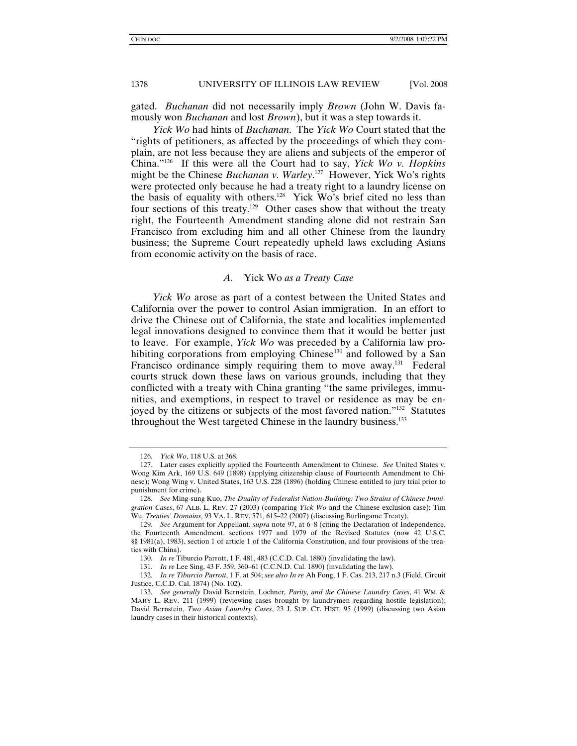gated. *Buchanan* did not necessarily imply *Brown* (John W. Davis famously won *Buchanan* and lost *Brown*), but it was a step towards it.

*Yick Wo* had hints of *Buchanan*. The *Yick Wo* Court stated that the "rights of petitioners, as affected by the proceedings of which they complain, are not less because they are aliens and subjects of the emperor of China."126 If this were all the Court had to say, *Yick Wo v. Hopkins* might be the Chinese *Buchanan v. Warley*. 127 However, Yick Wo's rights were protected only because he had a treaty right to a laundry license on the basis of equality with others.<sup>128</sup> Yick Wo's brief cited no less than four sections of this treaty.<sup>129</sup> Other cases show that without the treaty right, the Fourteenth Amendment standing alone did not restrain San Francisco from excluding him and all other Chinese from the laundry business; the Supreme Court repeatedly upheld laws excluding Asians from economic activity on the basis of race.

#### *A.* Yick Wo *as a Treaty Case*

*Yick Wo* arose as part of a contest between the United States and California over the power to control Asian immigration. In an effort to drive the Chinese out of California, the state and localities implemented legal innovations designed to convince them that it would be better just to leave. For example, *Yick Wo* was preceded by a California law prohibiting corporations from employing Chinese<sup>130</sup> and followed by a San Francisco ordinance simply requiring them to move away.<sup>131</sup> Federal courts struck down these laws on various grounds, including that they conflicted with a treaty with China granting "the same privileges, immunities, and exemptions, in respect to travel or residence as may be enjoyed by the citizens or subjects of the most favored nation."<sup>132</sup> Statutes throughout the West targeted Chinese in the laundry business.<sup>133</sup>

<sup>126</sup>*. Yick Wo*, 118 U.S. at 368.

 <sup>127.</sup> Later cases explicitly applied the Fourteenth Amendment to Chinese. *See* United States v. Wong Kim Ark, 169 U.S. 649 (1898) (applying citizenship clause of Fourteenth Amendment to Chinese); Wong Wing v. United States, 163 U.S. 228 (1896) (holding Chinese entitled to jury trial prior to punishment for crime).

<sup>128</sup>*. See* Ming-sung Kuo, *The Duality of Federalist Nation-Building: Two Strains of Chinese Immigration Cases*, 67 ALB. L. REV. 27 (2003) (comparing *Yick Wo* and the Chinese exclusion case); Tim Wu, *Treaties' Domains*, 93 VA. L. REV. 571, 615–22 (2007) (discussing Burlingame Treaty).

<sup>129</sup>*. See* Argument for Appellant, *supra* note 97, at 6–8 (citing the Declaration of Independence, the Fourteenth Amendment, sections 1977 and 1979 of the Revised Statutes (now 42 U.S.C. §§ 1981(a), 1983), section 1 of article 1 of the California Constitution, and four provisions of the treaties with China).

<sup>130</sup>*. In re* Tiburcio Parrott, 1 F. 481, 483 (C.C.D. Cal. 1880) (invalidating the law).

<sup>131</sup>*. In re* Lee Sing, 43 F. 359, 360–61 (C.C.N.D. Cal. 1890) (invalidating the law).

<sup>132</sup>*. In re Tiburcio Parrott*, 1 F. at 504; *see also In re* Ah Fong, 1 F. Cas. 213, 217 n.3 (Field, Circuit Justice, C.C.D. Cal. 1874) (No. 102).

<sup>133</sup>*. See generally* David Bernstein, Lochner*, Parity, and the Chinese Laundry Cases*, 41 WM. & MARY L. REV. 211 (1999) (reviewing cases brought by laundrymen regarding hostile legislation); David Bernstein, *Two Asian Laundry Cases*, 23 J. SUP. CT. HIST. 95 (1999) (discussing two Asian laundry cases in their historical contexts).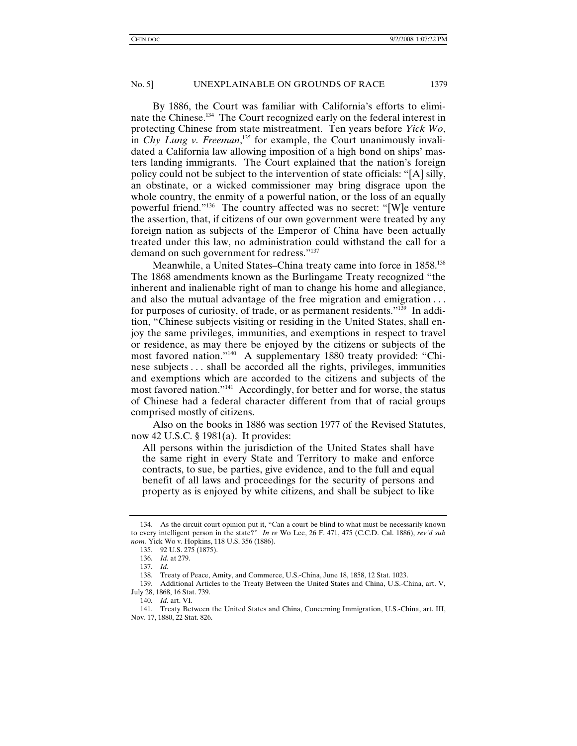By 1886, the Court was familiar with California's efforts to eliminate the Chinese.134 The Court recognized early on the federal interest in protecting Chinese from state mistreatment. Ten years before *Yick Wo*, in *Chy Lung v. Freeman*, 135 for example, the Court unanimously invalidated a California law allowing imposition of a high bond on ships' masters landing immigrants. The Court explained that the nation's foreign policy could not be subject to the intervention of state officials: "[A] silly, an obstinate, or a wicked commissioner may bring disgrace upon the whole country, the enmity of a powerful nation, or the loss of an equally powerful friend."136 The country affected was no secret: "[W]e venture the assertion, that, if citizens of our own government were treated by any foreign nation as subjects of the Emperor of China have been actually treated under this law, no administration could withstand the call for a demand on such government for redress."<sup>137</sup>

Meanwhile, a United States–China treaty came into force in 1858.<sup>138</sup> The 1868 amendments known as the Burlingame Treaty recognized "the inherent and inalienable right of man to change his home and allegiance, and also the mutual advantage of the free migration and emigration . . . for purposes of curiosity, of trade, or as permanent residents."<sup>139</sup> In addition, "Chinese subjects visiting or residing in the United States, shall enjoy the same privileges, immunities, and exemptions in respect to travel or residence, as may there be enjoyed by the citizens or subjects of the most favored nation."140 A supplementary 1880 treaty provided: "Chinese subjects . . . shall be accorded all the rights, privileges, immunities and exemptions which are accorded to the citizens and subjects of the most favored nation."141 Accordingly, for better and for worse, the status of Chinese had a federal character different from that of racial groups comprised mostly of citizens.

Also on the books in 1886 was section 1977 of the Revised Statutes, now 42 U.S.C. § 1981(a). It provides:

All persons within the jurisdiction of the United States shall have the same right in every State and Territory to make and enforce contracts, to sue, be parties, give evidence, and to the full and equal benefit of all laws and proceedings for the security of persons and property as is enjoyed by white citizens, and shall be subject to like

 <sup>134.</sup> As the circuit court opinion put it, "Can a court be blind to what must be necessarily known to every intelligent person in the state?" *In re* Wo Lee, 26 F. 471, 475 (C.C.D. Cal. 1886), *rev'd sub nom.* Yick Wo v. Hopkins, 118 U.S. 356 (1886).

 <sup>135. 92</sup> U.S. 275 (1875).

<sup>136</sup>*. Id.* at 279.

<sup>137</sup>*. Id.*

 <sup>138.</sup> Treaty of Peace, Amity, and Commerce, U.S.-China, June 18, 1858, 12 Stat. 1023.

 <sup>139.</sup> Additional Articles to the Treaty Between the United States and China, U.S.-China, art. V, July 28, 1868, 16 Stat. 739.

<sup>140</sup>*. Id.* art. VI.

 <sup>141.</sup> Treaty Between the United States and China, Concerning Immigration, U.S.-China, art. III, Nov. 17, 1880, 22 Stat. 826.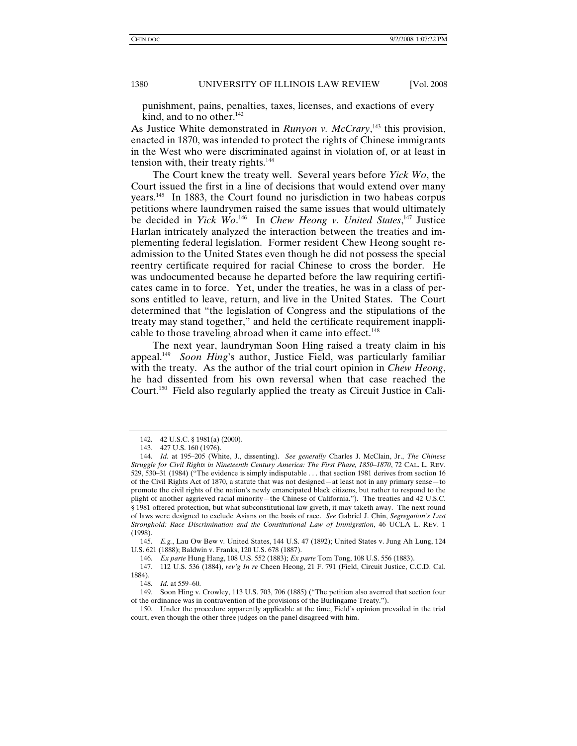punishment, pains, penalties, taxes, licenses, and exactions of every kind, and to no other. $142$ 

As Justice White demonstrated in *Runyon v. McCrary*, 143 this provision, enacted in 1870, was intended to protect the rights of Chinese immigrants in the West who were discriminated against in violation of, or at least in tension with, their treaty rights.<sup>144</sup>

The Court knew the treaty well. Several years before *Yick Wo*, the Court issued the first in a line of decisions that would extend over many years.145 In 1883, the Court found no jurisdiction in two habeas corpus petitions where laundrymen raised the same issues that would ultimately be decided in *Yick Wo*. 146 In *Chew Heong v. United States*, 147 Justice Harlan intricately analyzed the interaction between the treaties and implementing federal legislation. Former resident Chew Heong sought readmission to the United States even though he did not possess the special reentry certificate required for racial Chinese to cross the border. He was undocumented because he departed before the law requiring certificates came in to force. Yet, under the treaties, he was in a class of persons entitled to leave, return, and live in the United States. The Court determined that "the legislation of Congress and the stipulations of the treaty may stand together," and held the certificate requirement inapplicable to those traveling abroad when it came into effect.<sup>148</sup>

The next year, laundryman Soon Hing raised a treaty claim in his appeal.149 *Soon Hing*'s author, Justice Field, was particularly familiar with the treaty. As the author of the trial court opinion in *Chew Heong*, he had dissented from his own reversal when that case reached the Court.150 Field also regularly applied the treaty as Circuit Justice in Cali-

145*. E.g.*, Lau Ow Bew v. United States, 144 U.S. 47 (1892); United States v. Jung Ah Lung, 124 U.S. 621 (1888); Baldwin v. Franks, 120 U.S. 678 (1887).

 <sup>142. 42</sup> U.S.C. § 1981(a) (2000).

 <sup>143. 427</sup> U.S. 160 (1976).

<sup>144</sup>*. Id.* at 195–205 (White, J., dissenting). *See generally* Charles J. McClain, Jr., *The Chinese Struggle for Civil Rights in Nineteenth Century America: The First Phase, 1850–1870*, 72 CAL. L. REV. 529, 530–31 (1984) ("The evidence is simply indisputable . . . that section 1981 derives from section 16 of the Civil Rights Act of 1870, a statute that was not designed—at least not in any primary sense—to promote the civil rights of the nation's newly emancipated black citizens, but rather to respond to the plight of another aggrieved racial minority—the Chinese of California."). The treaties and 42 U.S.C. § 1981 offered protection, but what subconstitutional law giveth, it may taketh away. The next round of laws were designed to exclude Asians on the basis of race. *See* Gabriel J. Chin, *Segregation's Last Stronghold: Race Discrimination and the Constitutional Law of Immigration*, 46 UCLA L. REV. 1 (1998).

<sup>146</sup>*. Ex parte* Hung Hang, 108 U.S. 552 (1883); *Ex parte* Tom Tong, 108 U.S. 556 (1883).

 <sup>147. 112</sup> U.S. 536 (1884), *rev'g In re* Cheen Heong, 21 F. 791 (Field, Circuit Justice, C.C.D. Cal. 1884).

<sup>148</sup>*. Id.* at 559–60.

 <sup>149.</sup> Soon Hing v. Crowley, 113 U.S. 703, 706 (1885) ("The petition also averred that section four of the ordinance was in contravention of the provisions of the Burlingame Treaty.").

 <sup>150.</sup> Under the procedure apparently applicable at the time, Field's opinion prevailed in the trial court, even though the other three judges on the panel disagreed with him.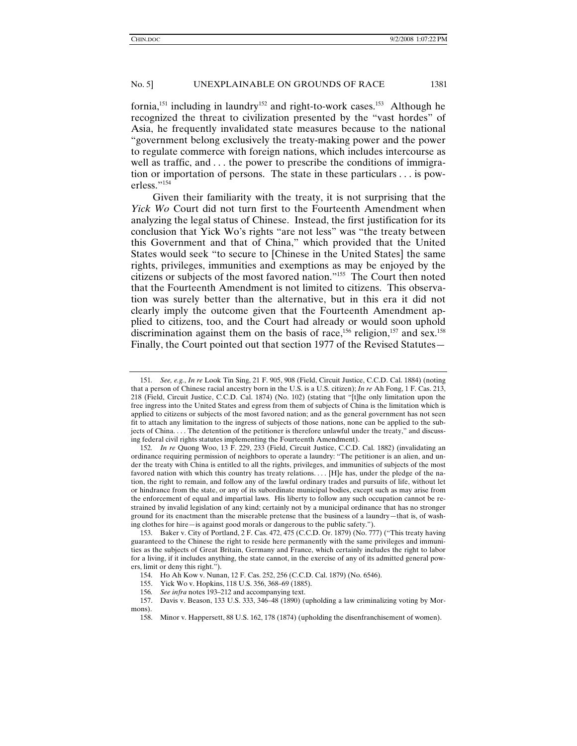fornia,<sup>151</sup> including in laundry<sup>152</sup> and right-to-work cases.<sup>153</sup> Although he recognized the threat to civilization presented by the "vast hordes" of Asia, he frequently invalidated state measures because to the national "government belong exclusively the treaty-making power and the power to regulate commerce with foreign nations, which includes intercourse as well as traffic, and  $\dots$  the power to prescribe the conditions of immigration or importation of persons. The state in these particulars . . . is powerless."154

Given their familiarity with the treaty, it is not surprising that the *Yick Wo* Court did not turn first to the Fourteenth Amendment when analyzing the legal status of Chinese. Instead, the first justification for its conclusion that Yick Wo's rights "are not less" was "the treaty between this Government and that of China," which provided that the United States would seek "to secure to [Chinese in the United States] the same rights, privileges, immunities and exemptions as may be enjoyed by the citizens or subjects of the most favored nation."155 The Court then noted that the Fourteenth Amendment is not limited to citizens. This observation was surely better than the alternative, but in this era it did not clearly imply the outcome given that the Fourteenth Amendment applied to citizens, too, and the Court had already or would soon uphold discrimination against them on the basis of race,<sup>156</sup> religion,<sup>157</sup> and sex.<sup>158</sup> Finally, the Court pointed out that section 1977 of the Revised Statutes—

<sup>151</sup>*. See, e.g.*, *In re* Look Tin Sing, 21 F. 905, 908 (Field, Circuit Justice, C.C.D. Cal. 1884) (noting that a person of Chinese racial ancestry born in the U.S. is a U.S. citizen); *In re* Ah Fong, 1 F. Cas. 213, 218 (Field, Circuit Justice, C.C.D. Cal. 1874) (No. 102) (stating that "[t]he only limitation upon the free ingress into the United States and egress from them of subjects of China is the limitation which is applied to citizens or subjects of the most favored nation; and as the general government has not seen fit to attach any limitation to the ingress of subjects of those nations, none can be applied to the subjects of China. . . . The detention of the petitioner is therefore unlawful under the treaty," and discussing federal civil rights statutes implementing the Fourteenth Amendment).

<sup>152</sup>*. In re* Quong Woo, 13 F. 229, 233 (Field, Circuit Justice, C.C.D. Cal. 1882) (invalidating an ordinance requiring permission of neighbors to operate a laundry: "The petitioner is an alien, and under the treaty with China is entitled to all the rights, privileges, and immunities of subjects of the most favored nation with which this country has treaty relations.... [H]e has, under the pledge of the nation, the right to remain, and follow any of the lawful ordinary trades and pursuits of life, without let or hindrance from the state, or any of its subordinate municipal bodies, except such as may arise from the enforcement of equal and impartial laws. His liberty to follow any such occupation cannot be restrained by invalid legislation of any kind; certainly not by a municipal ordinance that has no stronger ground for its enactment than the miserable pretense that the business of a laundry—that is, of washing clothes for hire—is against good morals or dangerous to the public safety.").

 <sup>153.</sup> Baker v. City of Portland, 2 F. Cas. 472, 475 (C.C.D. Or. 1879) (No. 777) ("This treaty having guaranteed to the Chinese the right to reside here permanently with the same privileges and immunities as the subjects of Great Britain, Germany and France, which certainly includes the right to labor for a living, if it includes anything, the state cannot, in the exercise of any of its admitted general powers, limit or deny this right.").

 <sup>154.</sup> Ho Ah Kow v. Nunan, 12 F. Cas. 252, 256 (C.C.D. Cal. 1879) (No. 6546).

 <sup>155.</sup> Yick Wo v. Hopkins, 118 U.S. 356, 368–69 (1885).

<sup>156</sup>*. See infra* notes 193–212 and accompanying text.

 <sup>157.</sup> Davis v. Beason, 133 U.S. 333, 346–48 (1890) (upholding a law criminalizing voting by Mormons).

 <sup>158.</sup> Minor v. Happersett, 88 U.S. 162, 178 (1874) (upholding the disenfranchisement of women).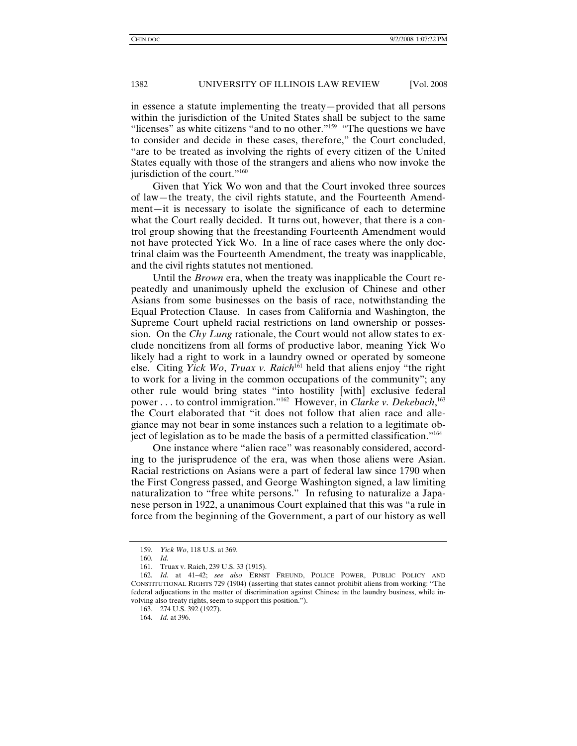in essence a statute implementing the treaty—provided that all persons within the jurisdiction of the United States shall be subject to the same "licenses" as white citizens "and to no other."159 "The questions we have to consider and decide in these cases, therefore," the Court concluded, "are to be treated as involving the rights of every citizen of the United States equally with those of the strangers and aliens who now invoke the jurisdiction of the court."<sup>160</sup>

Given that Yick Wo won and that the Court invoked three sources of law—the treaty, the civil rights statute, and the Fourteenth Amendment—it is necessary to isolate the significance of each to determine what the Court really decided. It turns out, however, that there is a control group showing that the freestanding Fourteenth Amendment would not have protected Yick Wo. In a line of race cases where the only doctrinal claim was the Fourteenth Amendment, the treaty was inapplicable, and the civil rights statutes not mentioned.

Until the *Brown* era, when the treaty was inapplicable the Court repeatedly and unanimously upheld the exclusion of Chinese and other Asians from some businesses on the basis of race, notwithstanding the Equal Protection Clause. In cases from California and Washington, the Supreme Court upheld racial restrictions on land ownership or possession. On the *Chy Lung* rationale, the Court would not allow states to exclude noncitizens from all forms of productive labor, meaning Yick Wo likely had a right to work in a laundry owned or operated by someone else. Citing *Yick Wo*, *Truax v. Raich*<sup>161</sup> held that aliens enjoy "the right to work for a living in the common occupations of the community"; any other rule would bring states "into hostility [with] exclusive federal power . . . to control immigration."162 However, in *Clarke v. Dekebach*, 163 the Court elaborated that "it does not follow that alien race and allegiance may not bear in some instances such a relation to a legitimate object of legislation as to be made the basis of a permitted classification."164

One instance where "alien race" was reasonably considered, according to the jurisprudence of the era, was when those aliens were Asian. Racial restrictions on Asians were a part of federal law since 1790 when the First Congress passed, and George Washington signed, a law limiting naturalization to "free white persons." In refusing to naturalize a Japanese person in 1922, a unanimous Court explained that this was "a rule in force from the beginning of the Government, a part of our history as well

<sup>159</sup>*. Yick Wo*, 118 U.S. at 369.

<sup>160</sup>*. Id.*

 <sup>161.</sup> Truax v. Raich, 239 U.S. 33 (1915).

<sup>162</sup>*. Id.* at 41–42; *see also* ERNST FREUND, POLICE POWER, PUBLIC POLICY AND CONSTITUTIONAL RIGHTS 729 (1904) (asserting that states cannot prohibit aliens from working: "The federal adjucations in the matter of discrimination against Chinese in the laundry business, while involving also treaty rights, seem to support this position.").

 <sup>163. 274</sup> U.S. 392 (1927).

<sup>164</sup>*. Id.* at 396.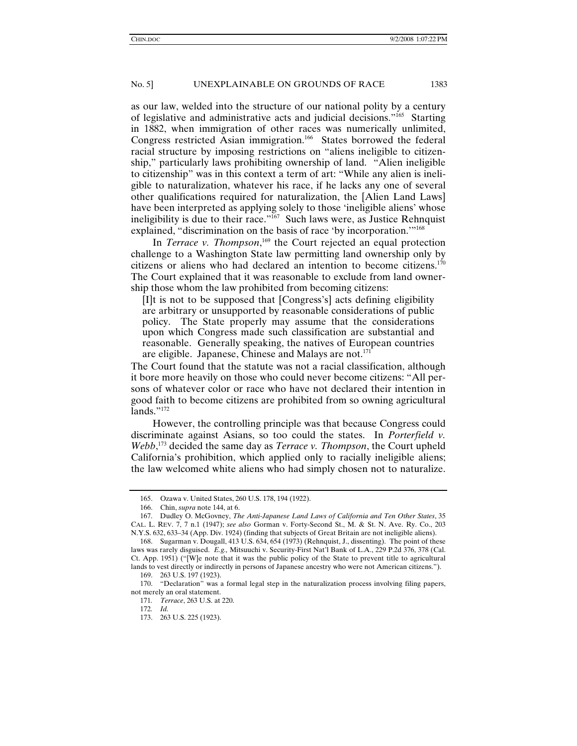as our law, welded into the structure of our national polity by a century of legislative and administrative acts and judicial decisions."165 Starting in 1882, when immigration of other races was numerically unlimited, Congress restricted Asian immigration.<sup>166</sup> States borrowed the federal racial structure by imposing restrictions on "aliens ineligible to citizenship," particularly laws prohibiting ownership of land. "Alien ineligible to citizenship" was in this context a term of art: "While any alien is ineligible to naturalization, whatever his race, if he lacks any one of several other qualifications required for naturalization, the [Alien Land Laws] have been interpreted as applying solely to those 'ineligible aliens' whose ineligibility is due to their race."167 Such laws were, as Justice Rehnquist explained, "discrimination on the basis of race 'by incorporation.'"168

In *Terrace v. Thompson*,<sup>169</sup> the Court rejected an equal protection challenge to a Washington State law permitting land ownership only by citizens or aliens who had declared an intention to become citizens.170 The Court explained that it was reasonable to exclude from land ownership those whom the law prohibited from becoming citizens:

[I]t is not to be supposed that [Congress's] acts defining eligibility are arbitrary or unsupported by reasonable considerations of public policy. The State properly may assume that the considerations upon which Congress made such classification are substantial and reasonable. Generally speaking, the natives of European countries are eligible. Japanese, Chinese and Malays are not.<sup>171</sup>

The Court found that the statute was not a racial classification, although it bore more heavily on those who could never become citizens: "All persons of whatever color or race who have not declared their intention in good faith to become citizens are prohibited from so owning agricultural lands." $172$ 

However, the controlling principle was that because Congress could discriminate against Asians, so too could the states. In *Porterfield v. Webb*, 173 decided the same day as *Terrace v. Thompson*, the Court upheld California's prohibition, which applied only to racially ineligible aliens; the law welcomed white aliens who had simply chosen not to naturalize.

 <sup>165.</sup> Ozawa v. United States, 260 U.S. 178, 194 (1922).

 <sup>166.</sup> Chin, *supra* note 144, at 6.

 <sup>167.</sup> Dudley O. McGovney, *The Anti-Japanese Land Laws of California and Ten Other States*, 35 CAL. L. REV. 7, 7 n.1 (1947); *see also* Gorman v. Forty-Second St., M. & St. N. Ave. Ry. Co., 203 N.Y.S. 632, 633–34 (App. Div. 1924) (finding that subjects of Great Britain are not ineligible aliens).

 <sup>168.</sup> Sugarman v. Dougall, 413 U.S. 634, 654 (1973) (Rehnquist, J., dissenting). The point of these laws was rarely disguised. *E.g.,* Mitsuuchi v. Security-First Nat'l Bank of L.A., 229 P.2d 376, 378 (Cal. Ct. App. 1951) ("[W]e note that it was the public policy of the State to prevent title to agricultural lands to vest directly or indirectly in persons of Japanese ancestry who were not American citizens.").

 <sup>169. 263</sup> U.S. 197 (1923).

 <sup>170. &</sup>quot;Declaration" was a formal legal step in the naturalization process involving filing papers, not merely an oral statement.

<sup>171</sup>*. Terrace*, 263 U.S. at 220.

<sup>172</sup>*. Id.*

 <sup>173. 263</sup> U.S. 225 (1923).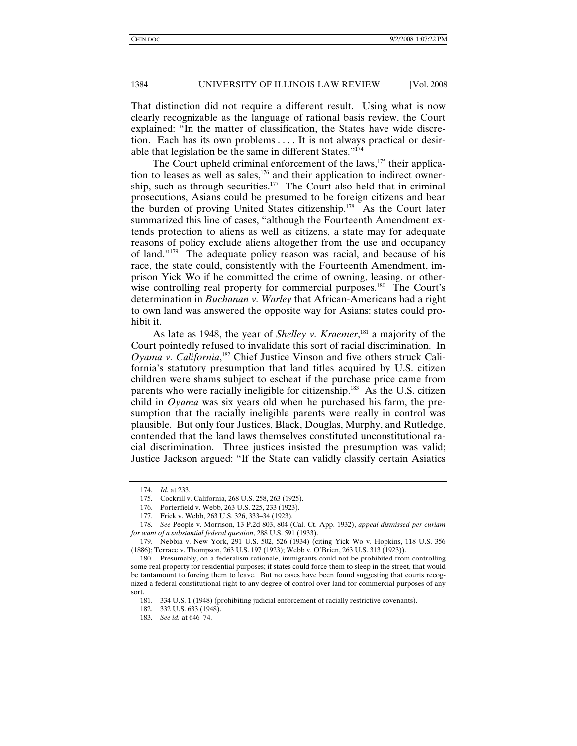That distinction did not require a different result. Using what is now clearly recognizable as the language of rational basis review, the Court explained: "In the matter of classification, the States have wide discretion. Each has its own problems . . . . It is not always practical or desirable that legislation be the same in different States."174

The Court upheld criminal enforcement of the laws, $175$  their application to leases as well as sales,<sup>176</sup> and their application to indirect ownership, such as through securities.<sup>177</sup> The Court also held that in criminal prosecutions, Asians could be presumed to be foreign citizens and bear the burden of proving United States citizenship.<sup>178</sup> As the Court later summarized this line of cases, "although the Fourteenth Amendment extends protection to aliens as well as citizens, a state may for adequate reasons of policy exclude aliens altogether from the use and occupancy of land."<sup>179</sup> The adequate policy reason was racial, and because of his race, the state could, consistently with the Fourteenth Amendment, imprison Yick Wo if he committed the crime of owning, leasing, or otherwise controlling real property for commercial purposes.<sup>180</sup> The Court's determination in *Buchanan v. Warley* that African-Americans had a right to own land was answered the opposite way for Asians: states could prohibit it.

As late as 1948, the year of *Shelley v. Kraemer*,<sup>181</sup> a majority of the Court pointedly refused to invalidate this sort of racial discrimination. In Oyama v. California,<sup>182</sup> Chief Justice Vinson and five others struck California's statutory presumption that land titles acquired by U.S. citizen children were shams subject to escheat if the purchase price came from parents who were racially ineligible for citizenship.<sup>183</sup> As the U.S. citizen child in *Oyama* was six years old when he purchased his farm, the presumption that the racially ineligible parents were really in control was plausible. But only four Justices, Black, Douglas, Murphy, and Rutledge, contended that the land laws themselves constituted unconstitutional racial discrimination. Three justices insisted the presumption was valid; Justice Jackson argued: "If the State can validly classify certain Asiatics

<sup>174</sup>*. Id.* at 233.

 <sup>175.</sup> Cockrill v. California, 268 U.S. 258, 263 (1925).

 <sup>176.</sup> Porterfield v. Webb, 263 U.S. 225, 233 (1923).

 <sup>177.</sup> Frick v. Webb, 263 U.S. 326, 333–34 (1923).

<sup>178</sup>*. See* People v. Morrison, 13 P.2d 803, 804 (Cal. Ct. App. 1932), *appeal dismissed per curiam for want of a substantial federal question*, 288 U.S. 591 (1933).

 <sup>179.</sup> Nebbia v. New York, 291 U.S. 502, 526 (1934) (citing Yick Wo v. Hopkins, 118 U.S. 356 (1886); Terrace v. Thompson, 263 U.S. 197 (1923); Webb v. O'Brien, 263 U.S. 313 (1923)).

 <sup>180.</sup> Presumably, on a federalism rationale, immigrants could not be prohibited from controlling some real property for residential purposes; if states could force them to sleep in the street, that would be tantamount to forcing them to leave. But no cases have been found suggesting that courts recognized a federal constitutional right to any degree of control over land for commercial purposes of any sort.

 <sup>181. 334</sup> U.S. 1 (1948) (prohibiting judicial enforcement of racially restrictive covenants).

 <sup>182. 332</sup> U.S. 633 (1948).

<sup>183</sup>*. See id.* at 646–74.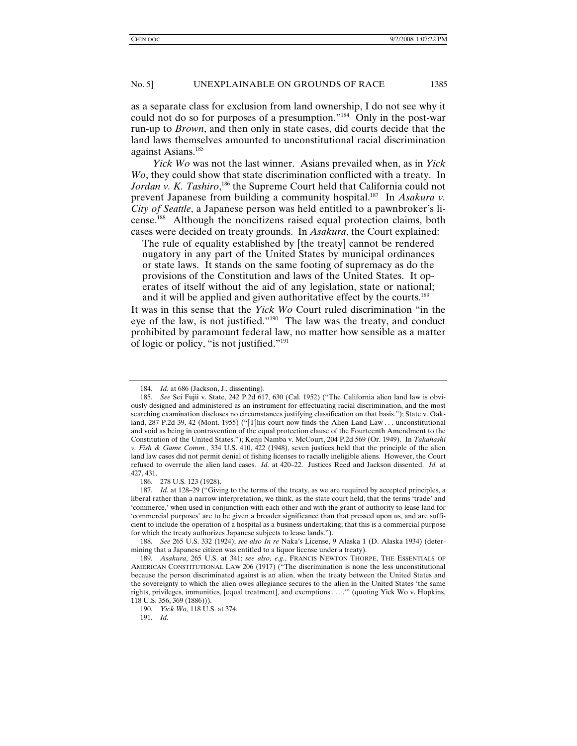as a separate class for exclusion from land ownership, I do not see why it could not do so for purposes of a presumption."184 Only in the post-war run-up to *Brown*, and then only in state cases, did courts decide that the land laws themselves amounted to unconstitutional racial discrimination against Asians.185

*Yick Wo* was not the last winner. Asians prevailed when, as in *Yick Wo*, they could show that state discrimination conflicted with a treaty. In Jordan v. K. Tashiro,<sup>186</sup> the Supreme Court held that California could not prevent Japanese from building a community hospital.<sup>187</sup> In *Asakura v*. *City of Seattle*, a Japanese person was held entitled to a pawnbroker's license.188 Although the noncitizens raised equal protection claims, both cases were decided on treaty grounds. In *Asakura*, the Court explained:

The rule of equality established by [the treaty] cannot be rendered nugatory in any part of the United States by municipal ordinances or state laws. It stands on the same footing of supremacy as do the provisions of the Constitution and laws of the United States. It operates of itself without the aid of any legislation, state or national; and it will be applied and given authoritative effect by the courts.<sup>189</sup>

It was in this sense that the *Yick Wo* Court ruled discrimination "in the eye of the law, is not justified."190 The law was the treaty, and conduct prohibited by paramount federal law, no matter how sensible as a matter of logic or policy, "is not justified."191

186. 278 U.S. 123 (1928).

191*. Id.*

<sup>184</sup>*. Id.* at 686 (Jackson, J., dissenting).

<sup>185</sup>*. See* Sei Fujii v. State, 242 P.2d 617, 630 (Cal. 1952) ("The California alien land law is obviously designed and administered as an instrument for effectuating racial discrimination, and the most searching examination discloses no circumstances justifying classification on that basis."); State v. Oakland, 287 P.2d 39, 42 (Mont. 1955) ("[T]his court now finds the Alien Land Law . . . unconstitutional and void as being in contravention of the equal protection clause of the Fourteenth Amendment to the Constitution of the United States."); Kenji Namba v. McCourt, 204 P.2d 569 (Or. 1949). In *Takahashi v. Fish & Game Comm.*, 334 U.S. 410, 422 (1948), seven justices held that the principle of the alien land law cases did not permit denial of fishing licenses to racially ineligible aliens. However, the Court refused to overrule the alien land cases. *Id.* at 420–22. Justices Reed and Jackson dissented. *Id.* at 427, 431.

<sup>187</sup>*. Id.* at 128–29 ("Giving to the terms of the treaty, as we are required by accepted principles, a liberal rather than a narrow interpretation, we think, as the state court held, that the terms 'trade' and 'commerce,' when used in conjunction with each other and with the grant of authority to lease land for 'commercial purposes' are to be given a broader significance than that pressed upon us, and are sufficient to include the operation of a hospital as a business undertaking; that this is a commercial purpose for which the treaty authorizes Japanese subjects to lease lands.").

<sup>188</sup>*. See* 265 U.S. 332 (1924); *see also In re* Naka's License, 9 Alaska 1 (D. Alaska 1934) (determining that a Japanese citizen was entitled to a liquor license under a treaty).

<sup>189</sup>*. Asakura*, 265 U.S. at 341; *see also, e.g.*, FRANCIS NEWTON THORPE, THE ESSENTIALS OF AMERICAN CONSTITUTIONAL LAW 206 (1917) ("The discrimination is none the less unconstitutional because the person discriminated against is an alien, when the treaty between the United States and the sovereignty to which the alien owes allegiance secures to the alien in the United States 'the same rights, privileges, immunities, [equal treatment], and exemptions . . . .'" (quoting Yick Wo v. Hopkins, 118 U.S. 356, 369 (1886))).

<sup>190</sup>*. Yick Wo*, 118 U.S. at 374.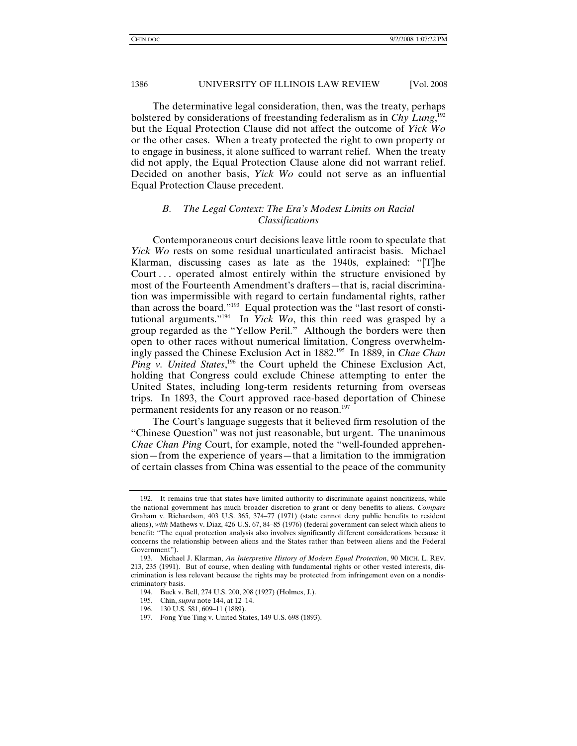The determinative legal consideration, then, was the treaty, perhaps bolstered by considerations of freestanding federalism as in *Chy Lung*, 192 but the Equal Protection Clause did not affect the outcome of *Yick Wo* or the other cases. When a treaty protected the right to own property or to engage in business, it alone sufficed to warrant relief. When the treaty did not apply, the Equal Protection Clause alone did not warrant relief. Decided on another basis, *Yick Wo* could not serve as an influential Equal Protection Clause precedent.

## *B. The Legal Context: The Era's Modest Limits on Racial Classifications*

Contemporaneous court decisions leave little room to speculate that *Yick Wo* rests on some residual unarticulated antiracist basis. Michael Klarman, discussing cases as late as the 1940s, explained: "[T]he Court ... operated almost entirely within the structure envisioned by most of the Fourteenth Amendment's drafters—that is, racial discrimination was impermissible with regard to certain fundamental rights, rather than across the board."193 Equal protection was the "last resort of constitutional arguments."194 In *Yick Wo*, this thin reed was grasped by a group regarded as the "Yellow Peril." Although the borders were then open to other races without numerical limitation, Congress overwhelmingly passed the Chinese Exclusion Act in 1882.195 In 1889, in *Chae Chan*  Ping *v*. United States,<sup>196</sup> the Court upheld the Chinese Exclusion Act, holding that Congress could exclude Chinese attempting to enter the United States, including long-term residents returning from overseas trips. In 1893, the Court approved race-based deportation of Chinese permanent residents for any reason or no reason.<sup>197</sup>

The Court's language suggests that it believed firm resolution of the "Chinese Question" was not just reasonable, but urgent. The unanimous *Chae Chan Ping* Court, for example, noted the "well-founded apprehension—from the experience of years—that a limitation to the immigration of certain classes from China was essential to the peace of the community

 <sup>192.</sup> It remains true that states have limited authority to discriminate against noncitizens, while the national government has much broader discretion to grant or deny benefits to aliens. *Compare* Graham v. Richardson, 403 U.S. 365, 374–77 (1971) (state cannot deny public benefits to resident aliens), *with* Mathews v. Diaz, 426 U.S. 67, 84–85 (1976) (federal government can select which aliens to benefit: "The equal protection analysis also involves significantly different considerations because it concerns the relationship between aliens and the States rather than between aliens and the Federal Government").

 <sup>193.</sup> Michael J. Klarman, *An Interpretive History of Modern Equal Protection*, 90 MICH. L. REV. 213, 235 (1991). But of course, when dealing with fundamental rights or other vested interests, discrimination is less relevant because the rights may be protected from infringement even on a nondiscriminatory basis.

 <sup>194.</sup> Buck v. Bell, 274 U.S. 200, 208 (1927) (Holmes, J.).

 <sup>195.</sup> Chin, *supra* note 144, at 12–14.

 <sup>196. 130</sup> U.S. 581, 609–11 (1889).

 <sup>197.</sup> Fong Yue Ting v. United States, 149 U.S. 698 (1893).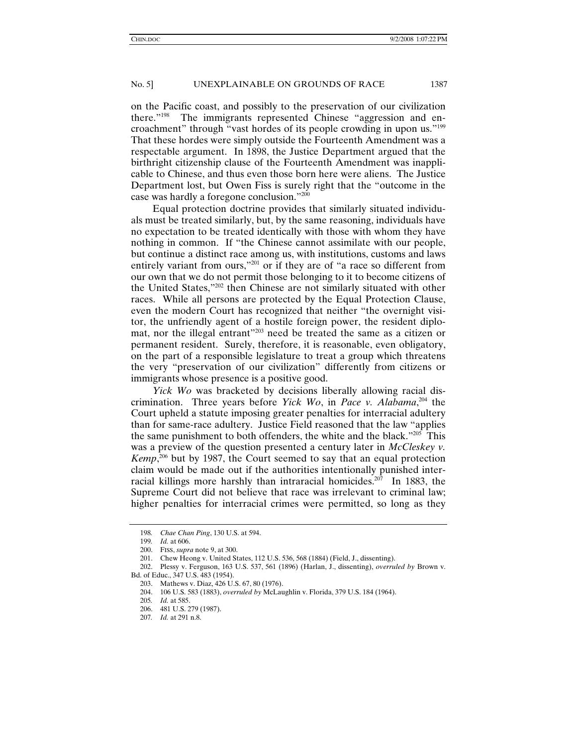on the Pacific coast, and possibly to the preservation of our civilization there."198 The immigrants represented Chinese "aggression and encroachment" through "vast hordes of its people crowding in upon us."199 That these hordes were simply outside the Fourteenth Amendment was a respectable argument. In 1898, the Justice Department argued that the birthright citizenship clause of the Fourteenth Amendment was inapplicable to Chinese, and thus even those born here were aliens. The Justice Department lost, but Owen Fiss is surely right that the "outcome in the case was hardly a foregone conclusion."200

Equal protection doctrine provides that similarly situated individuals must be treated similarly, but, by the same reasoning, individuals have no expectation to be treated identically with those with whom they have nothing in common. If "the Chinese cannot assimilate with our people, but continue a distinct race among us, with institutions, customs and laws entirely variant from ours,"<sup>201</sup> or if they are of "a race so different from our own that we do not permit those belonging to it to become citizens of the United States,"202 then Chinese are not similarly situated with other races. While all persons are protected by the Equal Protection Clause, even the modern Court has recognized that neither "the overnight visitor, the unfriendly agent of a hostile foreign power, the resident diplomat, nor the illegal entrant"203 need be treated the same as a citizen or permanent resident. Surely, therefore, it is reasonable, even obligatory, on the part of a responsible legislature to treat a group which threatens the very "preservation of our civilization" differently from citizens or immigrants whose presence is a positive good.

*Yick Wo* was bracketed by decisions liberally allowing racial discrimination. Three years before *Yick Wo*, in *Pace v. Alabama*, 204 the Court upheld a statute imposing greater penalties for interracial adultery than for same-race adultery. Justice Field reasoned that the law "applies the same punishment to both offenders, the white and the black."<sup>205</sup> This was a preview of the question presented a century later in *McCleskey v. Kemp*,<sup>206</sup> but by 1987, the Court seemed to say that an equal protection claim would be made out if the authorities intentionally punished interracial killings more harshly than intraracial homicides.<sup>207</sup> In 1883, the Supreme Court did not believe that race was irrelevant to criminal law; higher penalties for interracial crimes were permitted, so long as they

<sup>198</sup>*. Chae Chan Ping*, 130 U.S. at 594.

<sup>199</sup>*. Id.* at 606.

 <sup>200.</sup> FISS, *supra* note 9, at 300.

 <sup>201.</sup> Chew Heong v. United States, 112 U.S. 536, 568 (1884) (Field, J., dissenting).

 <sup>202.</sup> Plessy v. Ferguson, 163 U.S. 537, 561 (1896) (Harlan, J., dissenting), *overruled by* Brown v. Bd. of Educ., 347 U.S. 483 (1954).

 <sup>203.</sup> Mathews v. Diaz, 426 U.S. 67, 80 (1976).

 <sup>204. 106</sup> U.S. 583 (1883), *overruled by* McLaughlin v. Florida, 379 U.S. 184 (1964).

<sup>205</sup>*. Id.* at 585.

 <sup>206. 481</sup> U.S. 279 (1987).

<sup>207</sup>*. Id.* at 291 n.8.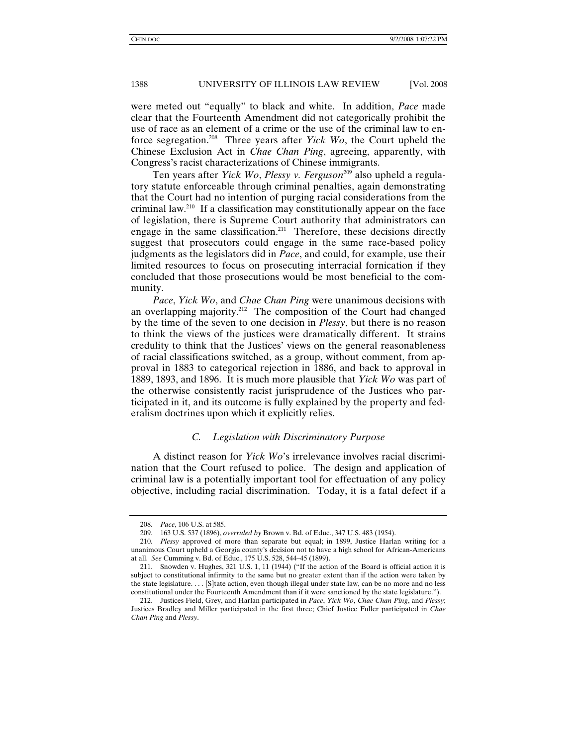were meted out "equally" to black and white. In addition, *Pace* made clear that the Fourteenth Amendment did not categorically prohibit the use of race as an element of a crime or the use of the criminal law to enforce segregation.208 Three years after *Yick Wo*, the Court upheld the Chinese Exclusion Act in *Chae Chan Ping*, agreeing, apparently, with Congress's racist characterizations of Chinese immigrants.

Ten years after *Yick Wo*, *Plessy v. Ferguson*<sup>209</sup> also upheld a regulatory statute enforceable through criminal penalties, again demonstrating that the Court had no intention of purging racial considerations from the criminal law.210 If a classification may constitutionally appear on the face of legislation, there is Supreme Court authority that administrators can engage in the same classification.<sup>211</sup> Therefore, these decisions directly suggest that prosecutors could engage in the same race-based policy judgments as the legislators did in *Pace*, and could, for example, use their limited resources to focus on prosecuting interracial fornication if they concluded that those prosecutions would be most beneficial to the community.

*Pace*, *Yick Wo*, and *Chae Chan Ping* were unanimous decisions with an overlapping majority.<sup>212</sup> The composition of the Court had changed by the time of the seven to one decision in *Plessy*, but there is no reason to think the views of the justices were dramatically different. It strains credulity to think that the Justices' views on the general reasonableness of racial classifications switched, as a group, without comment, from approval in 1883 to categorical rejection in 1886, and back to approval in 1889, 1893, and 1896. It is much more plausible that *Yick Wo* was part of the otherwise consistently racist jurisprudence of the Justices who participated in it, and its outcome is fully explained by the property and federalism doctrines upon which it explicitly relies.

## *C. Legislation with Discriminatory Purpose*

A distinct reason for *Yick Wo*'s irrelevance involves racial discrimination that the Court refused to police. The design and application of criminal law is a potentially important tool for effectuation of any policy objective, including racial discrimination. Today, it is a fatal defect if a

<sup>208</sup>*. Pace*, 106 U.S. at 585.

 <sup>209. 163</sup> U.S. 537 (1896), *overruled by* Brown v. Bd. of Educ., 347 U.S. 483 (1954).

<sup>210</sup>*. Plessy* approved of more than separate but equal; in 1899, Justice Harlan writing for a unanimous Court upheld a Georgia county's decision not to have a high school for African-Americans at all. *See* Cumming v. Bd. of Educ., 175 U.S. 528, 544–45 (1899).

 <sup>211.</sup> Snowden v. Hughes, 321 U.S. 1, 11 (1944) ("If the action of the Board is official action it is subject to constitutional infirmity to the same but no greater extent than if the action were taken by the state legislature. . . . [S]tate action, even though illegal under state law, can be no more and no less constitutional under the Fourteenth Amendment than if it were sanctioned by the state legislature.").

 <sup>212.</sup> Justices Field, Grey, and Harlan participated in *Pace*, *Yick Wo*, *Chae Chan Ping*, and *Plessy*; Justices Bradley and Miller participated in the first three; Chief Justice Fuller participated in *Chae Chan Ping* and *Plessy*.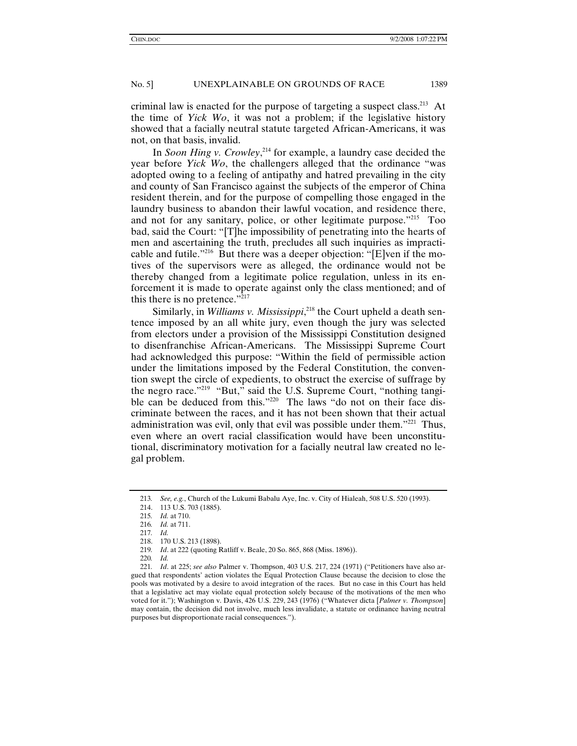criminal law is enacted for the purpose of targeting a suspect class.<sup>213</sup> At the time of *Yick Wo*, it was not a problem; if the legislative history showed that a facially neutral statute targeted African-Americans, it was not, on that basis, invalid.

In *Soon Hing v. Crowley*, 214 for example, a laundry case decided the year before *Yick Wo*, the challengers alleged that the ordinance "was adopted owing to a feeling of antipathy and hatred prevailing in the city and county of San Francisco against the subjects of the emperor of China resident therein, and for the purpose of compelling those engaged in the laundry business to abandon their lawful vocation, and residence there, and not for any sanitary, police, or other legitimate purpose."215 Too bad, said the Court: "[T]he impossibility of penetrating into the hearts of men and ascertaining the truth, precludes all such inquiries as impracticable and futile."<sup>216</sup> But there was a deeper objection: "[E]ven if the motives of the supervisors were as alleged, the ordinance would not be thereby changed from a legitimate police regulation, unless in its enforcement it is made to operate against only the class mentioned; and of this there is no pretence."217

Similarly, in *Williams v. Mississippi*, 218 the Court upheld a death sentence imposed by an all white jury, even though the jury was selected from electors under a provision of the Mississippi Constitution designed to disenfranchise African-Americans. The Mississippi Supreme Court had acknowledged this purpose: "Within the field of permissible action under the limitations imposed by the Federal Constitution, the convention swept the circle of expedients, to obstruct the exercise of suffrage by the negro race."<sup>219</sup> "But," said the U.S. Supreme Court, "nothing tangible can be deduced from this."<sup>220</sup> The laws "do not on their face discriminate between the races, and it has not been shown that their actual administration was evil, only that evil was possible under them."<sup>221</sup> Thus, even where an overt racial classification would have been unconstitutional, discriminatory motivation for a facially neutral law created no legal problem.

<sup>213</sup>*. See, e.g.*, Church of the Lukumi Babalu Aye, Inc. v. City of Hialeah, 508 U.S. 520 (1993).

 <sup>214. 113</sup> U.S. 703 (1885).

<sup>215</sup>*. Id.* at 710.

<sup>216</sup>*. Id.* at 711.

<sup>217</sup>*. Id.*

 <sup>218. 170</sup> U.S. 213 (1898).

<sup>219</sup>*. Id*. at 222 (quoting Ratliff v. Beale, 20 So. 865, 868 (Miss. 1896)).

<sup>220</sup>*. Id.*

<sup>221</sup>*. Id*. at 225; *see also* Palmer v. Thompson, 403 U.S. 217, 224 (1971) ("Petitioners have also argued that respondents' action violates the Equal Protection Clause because the decision to close the pools was motivated by a desire to avoid integration of the races. But no case in this Court has held that a legislative act may violate equal protection solely because of the motivations of the men who voted for it."); Washington v. Davis, 426 U.S. 229, 243 (1976) ("Whatever dicta [*Palmer v. Thompson*] may contain, the decision did not involve, much less invalidate, a statute or ordinance having neutral purposes but disproportionate racial consequences.").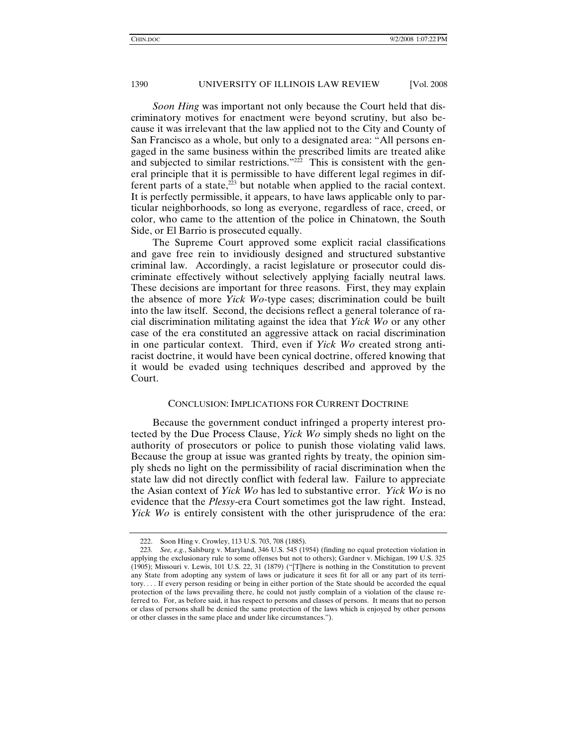*Soon Hing* was important not only because the Court held that discriminatory motives for enactment were beyond scrutiny, but also because it was irrelevant that the law applied not to the City and County of San Francisco as a whole, but only to a designated area: "All persons engaged in the same business within the prescribed limits are treated alike and subjected to similar restrictions."<sup>222</sup> This is consistent with the general principle that it is permissible to have different legal regimes in different parts of a state, $2^{23}$  but notable when applied to the racial context. It is perfectly permissible, it appears, to have laws applicable only to particular neighborhoods, so long as everyone, regardless of race, creed, or color, who came to the attention of the police in Chinatown, the South Side, or El Barrio is prosecuted equally.

The Supreme Court approved some explicit racial classifications and gave free rein to invidiously designed and structured substantive criminal law. Accordingly, a racist legislature or prosecutor could discriminate effectively without selectively applying facially neutral laws. These decisions are important for three reasons. First, they may explain the absence of more *Yick Wo*-type cases; discrimination could be built into the law itself. Second, the decisions reflect a general tolerance of racial discrimination militating against the idea that *Yick Wo* or any other case of the era constituted an aggressive attack on racial discrimination in one particular context. Third, even if *Yick Wo* created strong antiracist doctrine, it would have been cynical doctrine, offered knowing that it would be evaded using techniques described and approved by the Court.

## CONCLUSION: IMPLICATIONS FOR CURRENT DOCTRINE

Because the government conduct infringed a property interest protected by the Due Process Clause, *Yick Wo* simply sheds no light on the authority of prosecutors or police to punish those violating valid laws. Because the group at issue was granted rights by treaty, the opinion simply sheds no light on the permissibility of racial discrimination when the state law did not directly conflict with federal law. Failure to appreciate the Asian context of *Yick Wo* has led to substantive error. *Yick Wo* is no evidence that the *Plessy*-era Court sometimes got the law right. Instead, *Yick Wo* is entirely consistent with the other jurisprudence of the era:

 <sup>222.</sup> Soon Hing v. Crowley, 113 U.S. 703, 708 (1885).

<sup>223</sup>*. See, e.g.*, Salsburg v. Maryland, 346 U.S. 545 (1954) (finding no equal protection violation in applying the exclusionary rule to some offenses but not to others); Gardner v. Michigan, 199 U.S. 325 (1905); Missouri v. Lewis, 101 U.S. 22, 31 (1879) ("[T]here is nothing in the Constitution to prevent any State from adopting any system of laws or judicature it sees fit for all or any part of its territory. . . . If every person residing or being in either portion of the State should be accorded the equal protection of the laws prevailing there, he could not justly complain of a violation of the clause referred to. For, as before said, it has respect to persons and classes of persons. It means that no person or class of persons shall be denied the same protection of the laws which is enjoyed by other persons or other classes in the same place and under like circumstances.").